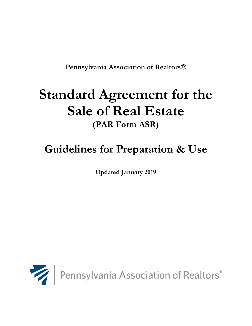**Pennsylvania Association of Realtors®** 

# **Standard Agreement for the Sale of Real Estate (PAR Form ASR)**

# **Guidelines for Preparation & Use**

**Updated January 2019**

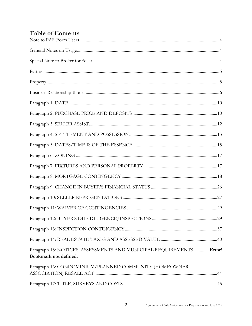# **Table of Contents**

| Paragraph 15: NOTICES, ASSESSMENTS AND MUNICIPAL REQUIREMENTS Error!<br>Bookmark not defined. |  |
|-----------------------------------------------------------------------------------------------|--|
| Paragraph 16: CONDOMINIUM/PLANNED COMMUNITY (HOMEOWNER                                        |  |
|                                                                                               |  |
|                                                                                               |  |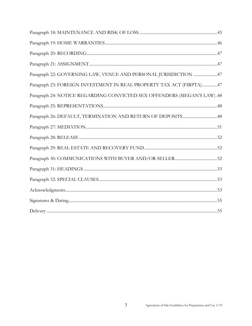| Paragraph 22: GOVERNING LAW, VENUE AND PERSONAL JURISDICTION 47         |
|-------------------------------------------------------------------------|
| Paragraph 23: FOREIGN INVESTMENT IN REAL PROPERTY TAX ACT (FIRPTA)47    |
| Paragraph 24: NOTICE REGARDING CONVICTED SEX OFFENDERS (MEGAN'S LAW).48 |
|                                                                         |
|                                                                         |
|                                                                         |
|                                                                         |
|                                                                         |
|                                                                         |
|                                                                         |
|                                                                         |
|                                                                         |
|                                                                         |
|                                                                         |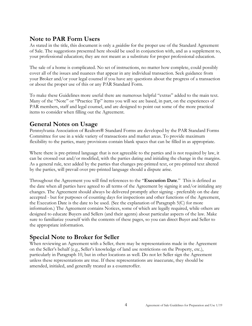# <span id="page-3-0"></span>**Note to PAR Form Users**

As stated in the title, this document is only a *guideline* for the proper use of the Standard Agreement of Sale. The suggestions presented here should be used in conjunction with, and as a supplement to, your professional education; they are not meant as a substitute for proper professional education.

The sale of a home is complicated. No set of instructions, no matter how complete, could possibly cover all of the issues and nuances that appear in any individual transaction. Seek guidance from your Broker and/or your legal counsel if you have any questions about the progress of a transaction or about the proper use of this or any PAR Standard Form.

To make these Guidelines more useful there are numerous helpful "extras" added to the main text. Many of the "Note" or "Practice Tip" items you will see are based, in part, on the experiences of PAR members, staff and legal counsel, and are designed to point out some of the more practical items to consider when filling out the Agreement.

# <span id="page-3-1"></span>**General Notes on Usage**

Pennsylvania Association of Realtors® Standard Forms are developed by the PAR Standard Forms Committee for use in a wide variety of transactions and market areas. To provide maximum flexibility to the parties, many provisions contain blank spaces that can be filled in as appropriate.

Where there is pre-printed language that is not agreeable to the parties and is not required by law, it can be crossed out and/or modified, with the parties dating and initialing the change in the margins. As a general rule, text added by the parties that changes pre-printed text, or pre-printed text altered by the parties, will prevail over pre-printed language should a dispute arise.

Throughout the Agreement you will find references to the "**Execution Date**." This is defined as the date when all parties have agreed to all terms of the Agreement by signing it and/or initialing any changes. The Agreement should always be delivered promptly after signing - preferably on the date accepted - but for purposes of counting days for inspections and other functions of the Agreement, the Execution Date is the date to be used. (See the explanation of Paragraph 5(C) for more information.) The Agreement contains Notices, some of which are legally required, while others are designed to educate Buyers and Sellers (and their agents) about particular aspects of the law. Make sure to familiarize yourself with the contents of these pages, so you can direct Buyer and Seller to the appropriate information.

# <span id="page-3-2"></span>**Special Note to Broker for Seller**

When reviewing an Agreement with a Seller, there may be representations made in the Agreement on the Seller's behalf (e.g., Seller's knowledge of land use restrictions on the Property, etc.), particularly in Paragraph 10, but in other locations as well. Do not let Seller sign the Agreement unless these representations are true. If these representations are inaccurate, they should be amended, initialed, and generally treated as a counteroffer.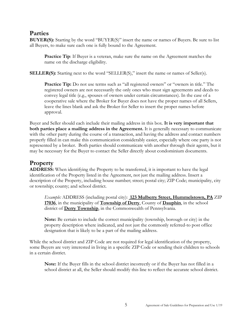# <span id="page-4-0"></span>**Parties**

**BUYER(S):** Starting by the word "BUYER(S)" insert the name or names of Buyers. Be sure to list all Buyers, to make sure each one is fully bound to the Agreement.

**Practice Tip:** If Buyer is a veteran, make sure the name on the Agreement matches the name on the discharge eligibility.

**SELLER(S):** Starting next to the word "SELLER(S)," insert the name or names of Seller(s).

**Practice Tip:** Do not use terms such as "all registered owners" or "owners in title." The registered owners are not necessarily the only ones who must sign agreements and deeds to convey legal title (e.g., spouses of owners under certain circumstances). In the case of a cooperative sale where the Broker for Buyer does not have the proper names of all Sellers, leave the lines blank and ask the Broker for Seller to insert the proper names before approval.

Buyer and Seller should each include their mailing address in this box. **It is very important that both parties place a mailing address in the Agreement.** It is generally necessary to communicate with the other party during the course of a transaction, and having the address and contact numbers properly filled in can make this communication considerably easier, especially where one party is not represented by a broker. Both parties should communicate with another through their agents, but it may be necessary for the Buyer to contact the Seller directly about condominium documents.

# <span id="page-4-1"></span>**Property**

**ADDRESS:** When identifying the Property to be transferred, it is important to have the legal identification of the Property listed in the Agreement, not just the mailing address. Insert a description of the Property, including house number; street; postal city; ZIP Code; municipality, city or township; county; and school district.

*Example:* ADDRESS (including postal city): **123 Mulberry Street, Hummelstown, PA** ZIP **17036**, in the municipality of **Township of Derry**, County of **Dauphin**, in the school district of **Derry Township**, in the Commonwealth of Pennsylvania.

**Note:** Be certain to include the correct municipality (township, borough or city) in the property description where indicated, and not just the commonly referred-to post office designation that is likely to be a part of the mailing address.

While the school district and ZIP Code are not required for legal identification of the property, some Buyers are very interested in living in a specific ZIP Code or sending their children to schools in a certain district.

**Note:** If the Buyer fills in the school district incorrectly or if the Buyer has not filled in a school district at all, the Seller should modify this line to reflect the accurate school district.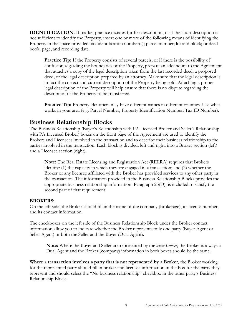**IDENTIFICATION:** If market practice dictates further description, or if the short description is not sufficient to identify the Property, insert one or more of the following means of identifying the Property in the space provided: tax identification number(s); parcel number; lot and block; or deed book, page, and recording date.

**Practice Tip:** If the Property consists of several parcels, or if there is the possibility of confusion regarding the boundaries of the Property, prepare an addendum to the Agreement that attaches a copy of the legal description taken from the last recorded deed, a proposed deed, or the legal description prepared by an attorney. Make sure that the legal description is in fact the correct and current description of the Property being sold. Attaching a proper legal description of the Property will help ensure that there is no dispute regarding the description of the Property to be transferred.

Practice Tip: Property identifiers may have different names in different counties. Use what works in your area (e.g. Parcel Number, Property Identification Number, Tax ID Number).

# <span id="page-5-0"></span>**Business Relationship Blocks**

The Business Relationship (Buyer's Relationship with PA Licensed Broker and Seller's Relationship with PA Licensed Broker) boxes on the front page of the Agreement are used to identify the Brokers and Licensees involved in the transaction and to describe their business relationship to the parties involved in the transaction. Each block is divided, left and right, into a Broker section (left) and a Licensee section (right).

**Note:** The Real Estate Licensing and Registration Act (RELRA) requires that Brokers identify: (1) the capacity in which they are engaged in a transaction; and (2) whether the Broker or any licensee affiliated with the Broker has provided services to any other party in the transaction. The information provided in the Business Relationship Blocks provides the appropriate business relationship information. Paragraph 25(D), is included to satisfy the second part of that requirement.

#### **BROKERS:**

On the left side, the Broker should fill in the name of the company (brokerage), its license number, and its contact information.

The checkboxes on the left side of the Business Relationship Block under the Broker contact information allow you to indicate whether the Broker represents only one party (Buyer Agent or Seller Agent) or both the Seller and the Buyer (Dual Agent).

**Note:** Where the Buyer and Seller are represented by the *same Broker*, the Broker is always a Dual Agent and the Broker (company) information in both boxes should be the same.

**Where a transaction involves a party that is not represented by a Broker**, the Broker working for the represented party should fill in broker and licensee information in the box for the party they represent and should select the "No business relationship" checkbox in the other party's Business Relationship Block.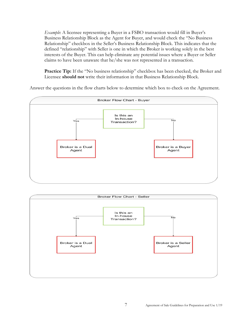*Example*: A licensee representing a Buyer in a FSBO transaction would fill in Buyer's Business Relationship Block as the Agent for Buyer, and would check the "No Business Relationship" checkbox in the Seller's Business Relationship Block. This indicates that the defined "relationship" with Seller is one in which the Broker is working solely in the best interests of the Buyer. This can help eliminate any potential issues where a Buyer or Seller claims to have been unaware that he/she was not represented in a transaction.

Practice Tip: If the "No business relationship" checkbox has been checked, the Broker and Licensee **should not** write their information in that Business Relationship Block.

Answer the questions in the flow charts below to determine which box to check on the Agreement.



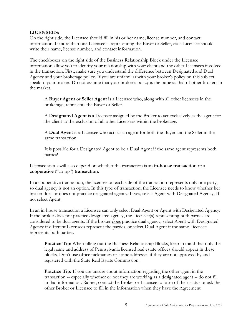#### **LICENSEES:**

On the right side, the Licensee should fill in his or her name, license number, and contact information. If more than one Licensee is representing the Buyer or Seller, each Licensee should write their name, license number, and contact information.

The checkboxes on the right side of the Business Relationship Block under the Licensee information allow you to identify your relationship with your client and the other Licensees involved in the transaction. First, make sure you understand the difference between Designated and Dual Agency and your brokerage policy. If you are unfamiliar with your broker's policy on this subject, speak to your broker. Do not assume that your broker's policy is the same as that of other brokers in the market.

A **Buyer Agent** or **Seller Agent** is a Licensee who, along with all other licensees in the brokerage, represents the Buyer or Seller.

A **Designated Agent** is a Licensee assigned by the Broker to act exclusively as the agent for the client to the exclusion of all other Licensees within the brokerage.

A **Dual Agent** is a Licensee who acts as an agent for both the Buyer and the Seller in the same transaction.

It is possible for a Designated Agent to be a Dual Agent if the same agent represents both parties!

Licensee status will also depend on whether the transaction is an **in-house transaction** or a **cooperative** ("co-op") **transaction**.

In a cooperative transaction, the licensee on each side of the transaction represents only one party, so dual agency is not an option. In this type of transaction, the Licensee needs to know whether her broker does or does not practice designated agency. If yes, select Agent with Designated Agency. If no, select Agent.

In an in-house transaction a Licensee can only select Dual Agent or Agent with Designated Agency. If the broker does not practice designated agency, the Licensee(s) representing both parties are considered to be dual agents. If the broker does practice dual agency, select Agent with Designated Agency if different Licensees represent the parties, or select Dual Agent if the same Licensee represents both parties.

**Practice Tip:** When filling out the Business Relationship Blocks, keep in mind that only the legal name and address of Pennsylvania licensed real estate offices should appear in these blocks. Don't use office nicknames or home addresses if they are not approved by and registered with the State Real Estate Commission.

**Practice Tip:** If you are unsure about information regarding the other agent in the transaction -- especially whether or not they are working as a designated agent -- do not fill in that information. Rather, contact the Broker or Licensee to learn of their status or ask the other Broker or Licensee to fill in the information when they have the Agreement.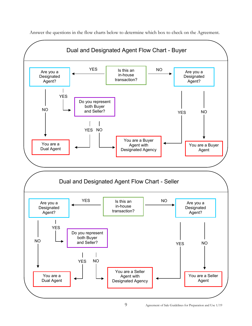

Answer the questions in the flow charts below to determine which box to check on the Agreement.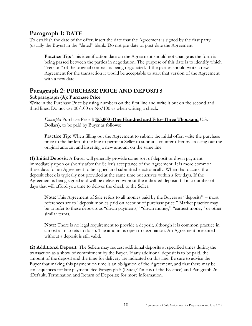# <span id="page-9-0"></span>**Paragraph 1: DATE**

To establish the date of the offer, insert the date that the Agreement is signed by the first party (usually the Buyer) in the "dated" blank. Do not pre-date or post-date the Agreement.

**Practice Tip**: This identification date on the Agreement should not change as the form is being passed between the parties in negotiation. The purpose of this date is to identify which "version" of the original contract is being negotiated. If the parties should write a new Agreement for the transaction it would be acceptable to start that version of the Agreement with a new date.

# <span id="page-9-1"></span>**Paragraph 2: PURCHASE PRICE AND DEPOSITS**

## **Subparagraph (A): Purchase Price**

Write in the Purchase Price by using numbers on the first line and write it out on the second and third lines. Do not use 00/100 or No/100 as when writing a check.

*Example*: Purchase Price \$ **153,000** (**One Hundred and Fifty-Three Thousand** U.S. Dollars), to be paid by Buyer as follows:

**Practice Tip:** When filling out the Agreement to submit the initial offer, write the purchase price to the far left of the line to permit a Seller to submit a counter-offer by crossing out the original amount and inserting a new amount on the same line.

**(1) Initial Deposit:** A Buyer will generally provide some sort of deposit or down payment immediately upon or shortly after the Seller's acceptance of the Agreement. It is more common these days for an Agreement to be signed and submitted electronically. When that occurs, the deposit check is typically not provided at the same time but arrives within a few days. If the Agreement is being signed and will be delivered without the indicated deposit, fill in a number of days that will afford you time to deliver the check to the Seller.

**Note:** This Agreement of Sale refers to all monies paid by the Buyers as "deposits" -- most references are to "deposit monies paid on account of purchase price." Market practice may be to refer to these deposits as "down payments," "down money," "earnest money" or other similar terms.

**Note:** There is no legal requirement to provide a deposit, although it is common practice in almost all markets to do so. The amount is open to negotiation. An Agreement presented without a deposit is still valid.

**(2) Additional Deposit:** The Sellers may request additional deposits at specified times during the transaction as a show of commitment by the Buyer. If any additional deposit is to be paid, the amount of the deposit and the time for delivery are indicated on this line. Be sure to advise the Buyer that making this payment on time is an obligation of the Agreement, and that there may be consequences for late payment. See Paragraph 5 (Dates/Time is of the Essence) and Paragraph 26 (Default, Termination and Return of Deposits) for more information.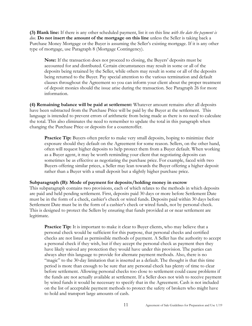**(3) Blank line:** If there is any other scheduled payment, list it on this line *with the date the payment is due.* **Do not insert the amount of the mortgage on this line** unless the Seller is taking back a Purchase Money Mortgage or the Buyer is assuming the Seller's existing mortgage. If it is any other type of mortgage, use Paragraph 8 (Mortgage Contingency).

**Note:** If the transaction does not proceed to closing, the Buyers' deposits must be accounted for and distributed. Certain circumstances may result in some or all of the deposits being retained by the Seller, while others may result in some or all of the deposits being returned to the Buyer. Pay special attention to the various termination and default clauses throughout the Agreement so you can inform your client about the proper treatment of deposit monies should the issue arise during the transaction. See Paragraph 26 for more information.

**(4) Remaining balance will be paid at settlement:** Whatever amount remains after all deposits have been subtracted from the Purchase Price will be paid by the Buyer at the settlement. This language is intended to prevent errors of arithmetic from being made as there is no need to calculate the total. This also eliminates the need to remember to update the total in this paragraph when changing the Purchase Price or deposits for a counteroffer.

**Practice Tip:** Buyers often prefer to make very small deposits, hoping to minimize their exposure should they default on the Agreement for some reason. Sellers, on the other hand, often will request higher deposits to help protect them from a Buyer default. When working as a Buyer agent, it may be worth reminding your client that negotiating deposits can sometimes be as effective as negotiating the purchase price. For example, faced with two Buyers offering similar prices, a Seller may lean towards the Buyer offering a higher deposit rather than a Buyer with a small deposit but a slightly higher purchase price.

#### **Subparagraph (B): Mode of payment for deposits/holding money in escrow**

This subparagraph contains two provisions, each of which relates to the methods in which deposits are paid and held pending settlement. First, deposits paid 30 days or more before Settlement Date must be in the form of a check, cashier's check or wired funds. Deposits paid within 30 days before Settlement Date must be in the form of a cashier's check or wired funds, not by personal check. This is designed to protect the Sellers by ensuring that funds provided at or near settlement are legitimate.

**Practice Tip:** It is important to make it clear to Buyer clients, who may believe that a personal check would be sufficient for this purpose, that personal checks and certified checks are not listed as permissible methods of payment. A Seller has the authority to accept a personal check if they wish, but if they accept the personal check as payment then they have likely waived any protection they would have under this provision. The parties can always alter this language to provide for alternate payment methods. Also, there is no "magic" to the 30-day limitation that is inserted as a default. The thought is that this time period is more than enough to be sure that any personal check has plenty of time to clear before settlement. Allowing personal checks too close to settlement could cause problems if the funds are not actually available at settlement. If a Seller does not wish to receive payment by wired funds it would be necessary to specify that in the Agreement. Cash is not included on the list of acceptable payment methods to protect the safety of brokers who might have to hold and transport large amounts of cash.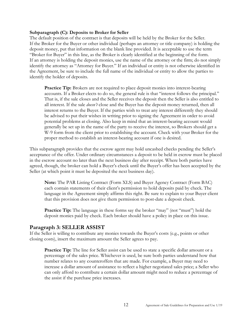#### **Subparagraph (C): Deposits to Broker for Seller**

The default position of the contract is that deposits will be held by the Broker for the Seller. If the Broker for the Buyer or other individual (perhaps an attorney or title company) is holding the deposit money, put that information on the blank line provided. It is acceptable to use the term "Broker for Buyer" in this line, as the Broker is clearly identified at the beginning of the form. If an attorney is holding the deposit monies, use the name of the attorney or the firm; do not simply identify the attorney as "Attorney for Buyer." If an individual or entity is not otherwise identified in the Agreement, be sure to include the full name of the individual or entity to allow the parties to identify the holder of deposits.

**Practice Tip:** Brokers are not required to place deposit monies into interest-bearing accounts. If a Broker elects to do so, the general rule is that "interest follows the principal." That is, if the sale closes and the Seller receives the deposit then the Seller is also entitled to all interest. If the sale *doesn't* close and the Buyer has the deposit money returned, then all interest returns to the Buyer. If the parties wish to treat any interest differently they should be advised to put their wishes in writing prior to signing the Agreement in order to avoid potential problems at closing. Also keep in mind that an interest-bearing account would generally be set up in the name of the party to receive the interest, so Brokers should get a W-9 form from the client prior to establishing the account. Check with your Broker for the proper method to establish an interest-bearing account if one is desired.

This subparagraph provides that the escrow agent may hold uncashed checks pending the Seller's acceptance of the offer. Under ordinary circumstances a deposit to be held in escrow must be placed in the escrow account no later than the next business day after receipt. Where both parties have agreed, though, the broker can hold a Buyer's check until the Buyer's offer has been accepted by the Seller (at which point it must be deposited the next business day).

**Note:** The PAR Listing Contract (Form XLS) and Buyer Agency Contract (Form BAC) each contain statements of their client's permission to hold deposits paid by check. The language in the Agreement simply affirms this right. Be sure to explain to your Buyer client that this provision does not give them permission to post-date a deposit check.

**Practice Tip:** The language in these forms say the broker "may" (not "must") hold the deposit monies paid by check. Each broker should have a policy in place on this issue.

#### <span id="page-11-0"></span>**Paragraph 3: SELLER ASSIST**

If the Seller is willing to contribute any monies towards the Buyer's costs (e.g., points or other closing costs), insert the maximum amount the Seller agrees to pay.

**Practice Tip:** The line for Seller assist can be used to state a specific dollar amount or a percentage of the sales price. Whichever is used, be sure both parties understand how that number relates to any counteroffers that are made. For example, a Buyer may need to increase a dollar amount of assistance to reflect a higher negotiated sales price; a Seller who can only afford to contribute a certain dollar amount might need to reduce a percentage of the assist if the purchase price increases.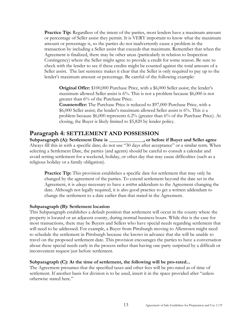**Practice Tip:** Regardless of the intent of the parties, most lenders have a maximum amount or percentage of Seller assist they permit. It is VERY important to know what the maximum amount or percentage is, so the parties do not inadvertently cause a problem in the transaction by including a Seller assist that exceeds that maximum. Remember that when the Agreement is finalized, there may be other areas (particularly in relation to Inspection Contingency) where the Seller might agree to provide a credit for some reason. Be sure to check with the lender to see if these credits might be counted against the total amount of a Seller assist. The last sentence makes it clear that the Seller is only required to pay up to the lender's maximum amount or percentage. Be careful of the following example:

**Original Offer:** \$100,000 Purchase Price, with a \$6,000 Seller assist; the lender's maximum allowed Seller assist is 6%. This is not a problem because \$6,000 is not greater than 6% of the Purchase Price.

**Counteroffer:** The Purchase Price is reduced to \$97,000 Purchase Price, with a \$6,000 Seller assist; the lender's maximum allowed Seller assist is 6%. This *is* a problem because \$6,000 represents 6.2% (greater than 6% of the Purchase Price). At closing, the Buyer is likely limited to \$5,820 by lender policy.

# <span id="page-12-0"></span>**Paragraph 4: SETTLEMENT AND POSSESSION**

**Subparagraph (A): Settlement Date is \_\_\_\_\_\_\_\_\_\_\_\_\_\_, or before if Buyer and Seller agree** Always fill this in with a specific date; do not use "30 days after acceptance" or a similar term. When selecting a Settlement Date, the parties (and agents) should be careful to consult a calendar and avoid setting settlement for a weekend, holiday, or other day that may cause difficulties (such as a religious holiday or a family obligation).

**Practice Tip:** This provision establishes a specific date for settlement that may only be changed by the agreement of the parties. To extend settlement beyond the date set in the Agreement, it is *always* necessary to have a *written* addendum to the Agreement changing the date. Although not legally required, it is also good practice to get a written addendum to change the settlement to a date earlier than that stated in the Agreement.

#### **Subparagraph (B): Settlement location**

This Subparagraph establishes a default position that settlement will occur in the county where the property is located or an adjacent county, during normal business hours. While this is the case for most transactions, there may be Buyers and Sellers who have special needs regarding settlement that will need to be addressed. For example, a Buyer from Pittsburgh moving to Allentown might need to schedule the settlement in Pittsburgh because she knows in advance that she will be unable to travel on the proposed settlement date. This provision encourages the parties to have a conversation about these special needs early in the process rather than having one party surprised by a difficult or inconvenient request just before settlement.

#### **Subparagraph (C): At the time of settlement, the following will be pro-rated...**

The Agreement presumes that the specified taxes and other fees will be pro-rated as of time of settlement. If another basis for division is to be used, insert it in the space provided after "unless otherwise stated here."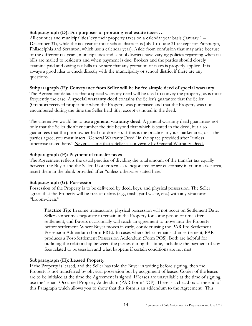#### **Subparagraph (D): For purposes of prorating real estate taxes …**

All counties and municipalities levy their property taxes on a calendar year basis (January 1 – December 31), while the tax year of most school districts is July 1 to June 31 (except for Pittsburgh, Philadelphia and Scranton, which use a calendar year). Aside from confusion that may arise because of the different tax years, municipalities and school districts have varying policies regarding when tax bills are mailed to residents and when payment is due. Brokers and the parties should closely examine paid and owing tax bills to be sure that any proration of taxes is properly applied. It is always a good idea to check directly with the municipality or school district if there are any questions.

#### **Subparagraph (E): Conveyance from Seller will be by fee simple deed of special warranty**

The Agreement default is that a special warranty deed will be used to convey the property, as is most frequently the case. A **special warranty deed** contains the Seller's guarantee that the Seller (Grantor) received proper title when the Property was purchased and that the Property was not encumbered during the time the Seller held title, except as noted in the deed.

The alternative would be to use a **general warranty deed**. A general warranty deed guarantees not only that the Seller didn't encumber the title beyond that which is stated in the deed, but also guarantees that the prior owner had not done so. If this is the practice in your market area, or if the parties agree, you must insert "General Warranty Deed" in the space provided after "unless otherwise stated here." Never assume that a Seller is conveying by General Warranty Deed.

#### **Subparagraph (F): Payment of transfer taxes**

The Agreement reflects the usual practice of dividing the total amount of the transfer tax equally between the Buyer and the Seller. If other terms are negotiated or are customary in your market area, insert them in the blank provided after "unless otherwise stated here."

#### **Subparagraph (G): Possession**

Possession of the Property is to be delivered by deed, keys, and physical possession. The Seller agrees that the Property will be free of debris (e.g., trash, yard waste, etc.) with any structures "broom-clean."

Practice Tip: In some transactions, physical possession will not occur on Settlement Date. Sellers sometimes negotiate to remain in the Property for some period of time after settlement, and Buyers occasionally will reach an agreement to move into the Property before settlement. Where Buyer moves in early, consider using the PAR Pre-Settlement Possession Addendum (Form PRE). In cases where Seller remains after settlement, PAR produces a Post-Settlement Possession Addendum (Form POS). Both are helpful for outlining the relationship between the parties during this time, including the payment of any fees related to possession and what happens if certain conditions are not met.

#### **Subparagraph (H): Leased Property**

If the Property is leased, and the Seller has told the Buyer in writing before signing, then the Property is not transferred by physical possession but by assignment of leases. Copies of the leases are to be initialed at the time the Agreement is signed. If leases are unavailable at the time of signing, use the Tenant Occupied Property Addendum (PAR Form TOP). There is a checkbox at the end of this Paragraph which allows you to show that this form is an addendum to the Agreement. This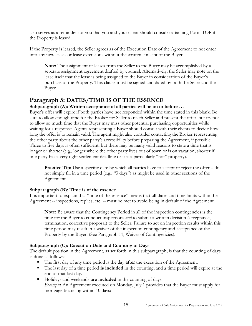also serves as a reminder for you that you and your client should consider attaching Form TOP if the Property is leased.

If the Property is leased, the Seller agrees as of the Execution Date of the Agreement to not enter into any new leases or lease extensions without the written consent of the Buyer.

**Note:** The assignment of leases from the Seller to the Buyer may be accomplished by a separate assignment agreement drafted by counsel. Alternatively, the Seller may note on the lease itself that the lease is being assigned to the Buyer in consideration of the Buyer's purchase of the Property. This clause must be signed and dated by both the Seller and the Buyer.

# <span id="page-14-0"></span>**Paragraph 5: DATES/TIME IS OF THE ESSENCE**

## **Subparagraph (A): Written acceptance of all parties will be on or before …**

Buyer's offer will expire if both parties have not responded within the time stated in this blank. Be sure to allow enough time for the Broker for Seller to reach Seller and present the offer, but try not to allow so much time that the Buyer may miss other potential purchasing opportunities while waiting for a response. Agents representing a Buyer should consult with their clients to decide how long the offer is to remain valid. The agent might also consider contacting the Broker representing the other party about the other party's accessibility before preparing the Agreement, if possible. Three to five days is often sufficient, but there may be many valid reasons to state a time that is longer or shorter (e.g., longer where the other party lives out of town or is on vacation, shorter if one party has a very tight settlement deadline or it is a particularly "hot" property).

**Practice Tip:** Use a specific date by which all parties have to accept or reject the offer – do not simply fill in a time period (e.g., "3 days") as might be used in other sections of the Agreement.

#### **Subparagraph (B): Time is of the essence**

It is important to explain that "time of the essence" means that **all** dates and time limits within the Agreement -- inspections, replies, etc. -- must be met to avoid being in default of the Agreement.

**Note:** Be aware that the Contingency Period in all of the inspection contingencies is the time for the Buyer to conduct inspections *and* to submit a written decision (acceptance, termination, corrective proposal) to the Seller. Failure to act on inspection results within this time period may result in a waiver of the inspection contingency and acceptance of the Property by the Buyer. (See Paragraph 11, Waiver of Contingencies).

## **Subparagraph (C): Execution Date and Counting of Days**

The default position in the Agreement, as set forth in this subparagraph, is that the counting of days is done as follows:

- The first day of any time period is the day **after** the execution of the Agreement.
- The last day of a time period **is included** in the counting, and a time period will expire at the end of that last day.
- Holidays and weekends **are included** in the counting of days. *Example***:** An Agreement executed on Monday, July 1 provides that the Buyer must apply for mortgage financing within 10 days: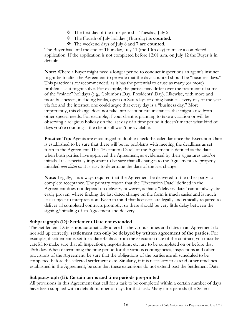- $\bullet$  The first day of the time period is Tuesday, July 2.
- The Fourth of July holiday (Thursday) **is counted**.
- The weekend days of July 6 and 7 **are counted**.

The Buyer has until the end of Thursday, July 11 (the 10th day) to make a completed application. If the application is not completed before 12:01 a.m. on July 12 the Buyer is in default.

**Note:** Where a Buyer might need a longer period to conduct inspections an agent's instinct might be to alter the Agreement to provide that the days counted should be "business days." This practice is *not* recommended, as it has the potential to cause as many (or more) problems as it might solve. For example, the parties may differ over the treatment of some of the "minor" holidays (e.g., Columbus Day, Presidents' Day). Likewise, with more and more businesses, including banks, open on Saturdays or doing business every day of the year via fax and the internet, one could argue that every day is a "business day." More importantly, this change does not take into account circumstances that might arise from other special needs. For example, if your client is planning to take a vacation or will be observing a religious holiday on the last day of a time period it doesn't matter what kind of days you're counting – the client still won't be available.

**Practice Tip:** Agents are encouraged to double-check the calendar once the Execution Date is established to be sure that there will be no problems with meeting the deadlines as set forth in the Agreement. The "Execution Date" of the Agreement is defined as the date when both parties have approved the Agreement, as evidenced by their signatures and/or initials. It is especially important to be sure that all changes to the Agreement are properly initialed *and dated* so it is easy to determine the date of the last change.

**Note:** Legally, it is always required that the Agreement be delivered to the other party to complete acceptance. The primary reason that the "Execution Date" defined in the Agreement does not depend on delivery, however, is that a "delivery date" cannot always be easily proven, where finding the last dated change on the form is much easier and is much less subject to interpretation. Keep in mind that licensees are legally and ethically required to deliver all completed contracts promptly, so there should be very little delay between the signing/initialing of an Agreement and delivery.

#### **Subparagraph (D): Settlement Date not extended**

The Settlement Date is **not** automatically altered if the various times and dates in an Agreement do not add up correctly; **settlement can only be delayed by written agreement of the parties**. For example, if settlement is set for a date 45 days from the execution date of the contract, you must be careful to make sure that all inspections, negotiations, etc. are to be completed on or before that 45th day. When determining the time period for the various contingencies, inspections and other provisions of the Agreement, be sure that the obligations of the parties are all scheduled to be completed before the selected settlement date. Similarly, if it is necessary to extend other timelines established in the Agreement, be sure that these extensions do not extend past the Settlement Date.

#### **Subparagraph (E): Certain terms and time periods pre-printed**

All provisions in this Agreement that call for a task to be completed within a certain number of days have been supplied with a default number of days for that task. Many time periods (the Seller's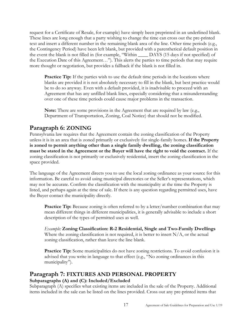request for a Certificate of Resale, for example) have simply been preprinted in an underlined blank. These lines are long enough that a party wishing to change the time can cross out the pre-printed text and insert a different number in the remaining blank area of the line. Other time periods (e.g., the Contingency Period) have been left blank, but provided with a parenthetical default position in the event the blank is not filled in (for example, "Within \_\_\_\_ DAYS (15 days if not specified) of the Execution Date of this Agreement…"). This alerts the parties to time periods that may require more thought or negotiation, but provides a fallback if the blank is not filled in.

**Practice Tip:** If the parties wish to use the default time periods in the locations where blanks are provided it is not absolutely necessary to fill in the blank, but best practice would be to do so anyway. Even with a default provided, it is inadvisable to proceed with an Agreement that has any unfilled blank lines, especially considering that a misunderstanding over one of these time periods could cause major problems in the transaction.

**Note:** There are some provisions in the Agreement that are required by law (e.g., Department of Transportation, Zoning, Coal Notice) that should not be modified.

# <span id="page-16-0"></span>**Paragraph 6: ZONING**

Pennsylvania law requires that the Agreement contain the zoning classification of the Property unless it is in an area that is zoned primarily or exclusively for single-family homes. **If the Property is zoned to permit anything other than a single family dwelling, the zoning classification must be stated in the Agreement or the Buyer will have the right to void the contract.** If the zoning classification is not primarily or exclusively residential, insert the zoning classification in the space provided.

The language of the Agreement directs you to use the local zoning ordinance as your source for this information. Be careful to avoid using municipal directories or the Seller's representations, which may not be accurate. Confirm the classification with the municipality at the time the Property is listed, and perhaps again at the time of sale. If there is any question regarding permitted uses, have the Buyer contact the municipality directly.

**Practice Tip:** Because zoning is often referred to by a letter/number combination that may mean different things in different municipalities, it is generally advisable to include a short description of the types of permitted uses as well.

*Example:* **Zoning Classification: R-2 Residential, Single and Two-Family Dwellings** Where the zoning classification is not required, it is better to insert  $N/A$ , or the actual zoning classification, rather than leave the line blank.

Practice Tip: Some municipalities do not have zoning restrictions. To avoid confusion it is advised that you write in language to that effect (e.g., "No zoning ordinances in this municipality").

# <span id="page-16-1"></span>**Paragraph 7: FIXTURES AND PERSONAL PROPERTY Subparagraphs (A) and (C): Included/Excluded**

Subparagraph (A) specifies what existing items are included in the sale of the Property. Additional items included in the sale can be listed on the lines provided. Cross out any pre-printed items that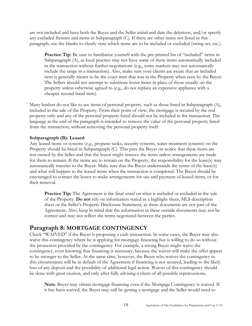are not included and have both the Buyer and the Seller initial and date the deletions, and/or specify any excluded fixtures and items in Subparagraph (C). If there are other items not listed in this paragraph, use the blanks to clearly state which items are to be included or excluded (swing-set, etc.).

**Practice Tip:** Be sure to familiarize yourself with the pre-printed list of "included" items in Subparagraph (A), as local practice may not have some of these items automatically included in the transaction without further negotiations (e.g., some markets may not automatically include the range in a transaction). Also, make sure your clients are aware that an included item is generally meant to be the exact item that was in the Property when seen by the Buyer. The Sellers should not attempt to substitute lesser items in place of those usually on the property unless otherwise agreed to (e.g., do not replace an expensive appliance with a cheaper second-hand item).

Many lenders do not like to see items of personal property, such as those listed in Subparagraph (A), included in the sale of the Property. From their point of view, the mortgage is secured by the real property only and any of the personal property listed should not be included in the transaction. The language at the end of the paragraph is intended to remove the value of the personal property listed from the transaction, without removing the personal property itself.

#### **Subparagraph (B): Leased**

Any leased items or systems (e.g., propane tanks, security systems, water treatment systems) on the Property should be listed in Subparagraph (C). This puts the Buyer on notice that these items are not owned by the Seller and that the lessor might remove the items unless arrangements are made for them to remain. If the items are to remain on the Property, the responsibility for the lease(s) may automatically transfer to the Buyer. Make sure that the Buyer understands the terms of the lease(s) and what will happen to the leased items when the transaction is completed. The Buyer should be encouraged to contact the lessor to make arrangements for use and payment of leased items, or for their removal.

**Practice Tip:** The Agreement is the final word on what is included or excluded in the sale of the Property. **Do not** rely on information stated in a highlight sheet, MLS description sheet or the Seller's Property Disclosure Statement, as these documents are not part of the Agreement. Also, keep in mind that the information in these outside documents may not be correct and may not reflect the terms negotiated between the parties.

# <span id="page-17-0"></span>**Paragraph 8: MORTGAGE CONTINGENCY**

Check "WAIVED" if the Buyer is proposing a cash transaction. In some cases, the Buyer may also waive this contingency where he is applying for mortgage financing but is willing to do so without the protection provided by the contingency. For example, a strong Buyer might waive the contingency, even knowing that financing is necessary, because the waiver will make the offer appear to be stronger to the Seller. At the same time, however, the Buyer who waives the contingency in this circumstance will be in default of the Agreement if financing is not secured, leading to the likely loss of any deposit and the possibility of additional legal action. Waiver of this contingency should be done with great caution, and only after fully advising a client of all possible repercussions.

**Note**: Buyer may obtain mortgage financing even if the Mortgage Contingency is waived. If it has been waived, the Buyer may still be getting a mortgage and the Seller would need to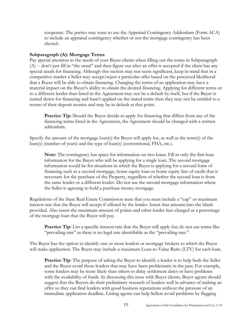cooperate. The parties may want to use the Appraisal Contingency Addendum (Form ACA) to include an appraisal contingency whether or not the mortgage contingency has been elected.

#### **Subparagraph (A): Mortgage Terms**

Pay special attention to the needs of your Buyer clients when filling out the terms in Subparagraph (A) -- don't just fill in "the usual" and then figure out after an offer is accepted if the client has any special needs for financing. Although this section may not seem significant, keep in mind that in a competitive market a Seller may accept/reject a particular offer based on the perceived likelihood that a Buyer will be able to obtain financing. Changing the terms of an application may have a material impact on the Buyer's ability to obtain the desired financing. Applying for different terms or to a different lender than listed in the Agreement may not be a default by itself, but if the Buyer is turned down for financing and hasn't applied on the stated terms then they may not be entitled to a return of their deposit monies and may be in default at that point.

**Practice Tip:** Should the Buyer decide to apply for financing that differs from any of the financing terms listed in the Agreement, the Agreement should be changed with a written addendum.

Specify the amount of the mortgage loan(s) the Buyer will apply for, as well as the term(s) of the loan(s) (number of years) and the type of loan(s) (conventional, FHA, etc.).

**Note:** The contingency has space for information on two loans. Fill in only the first loan information for the Buyer who will be applying for a single loan. The second mortgage information would be for situations in which the Buyer is applying for a second form of financing such as a second mortgage, home equity loan or home equity line of credit that is necessary for the purchase of the Property, regardless of whether the second loan is from the same lender or a different lender. Do not use the second mortgage information where the Seller is agreeing to hold a purchase money mortgage.

Regulations of the State Real Estate Commission state that you must include a "cap" or maximum interest rate that the Buyer will accept if offered by the lender. Insert that amount into the blank provided. Also insert the maximum amount of points and other lender fees charged as a percentage of the mortgage loan that the Buyer will pay.

**Practice Tip:** List a specific interest rate that the Buyer will apply for; do not use terms like "prevailing rate" as there is no legal rate identifiable as the "prevailing rate."

The Buyer has the option to identify one or more lenders or mortgage brokers to which the Buyer will make application. The Buyer may include a maximum Loan-to-Value Ratio (LTV) for each loan.

**Practice Tip:** The purpose of asking the Buyer to identify a lender is to help both the Seller and the Buyer avoid those lenders that may have been problematic in the past. For example, some lenders may be more likely than others to delay settlement dates or have problems with the availability of funds. In discussing this issue with Buyer clients, Buyer agents should suggest that the Buyers do their preliminary research of lenders well in advance of making an offer so they can find lenders with good business reputations without the pressure of an immediate application deadline. Listing agents can help Sellers avoid problems by flagging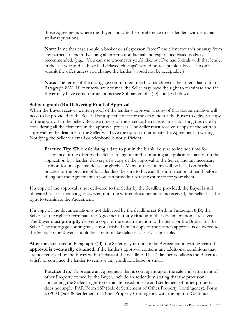those Agreements where the Buyers indicate their preference to use lenders with less than stellar reputations.

**Note:** In neither case should a broker or salesperson "steer" the client towards or away from any particular lender. Keeping all information factual and experience-based is always recommended. (e.g., "You can use whomever you'd like, but I've had 3 deals with that lender in the last year and all have had delayed closings" would be acceptable advice. "I won't submit the offer unless you change the lender" would not be acceptable.)

**Note:** The terms of the mortgage commitment need to match *all* of the criteria laid out in Paragraph 8(A). If *all* criteria are not met, the Seller may have the right to terminate and the Buyer may have certain protections (See Subparagraphs (D) and (E) below).

#### **Subparagraph (B): Delivering Proof of Approval**

When the Buyer receives written proof of the lender's approval, a copy of that documentation will need to be provided to the Seller. Use a specific date for the deadline for the Buyer to deliver a copy of the approval to the Seller. Because time is of the essence, be realistic in establishing this date by considering all the elements in the approval process. The Seller must receive a copy of the written approval by the deadline or the Seller will have the option to terminate the Agreement in writing. Notifying the Seller via email or telephone is not sufficient.

Practice Tip: While calculating a date to put in the blank, be sure to include time for: acceptance of the offer by the Seller, filling out and submitting an application. action on the application by a lender, delivery of a copy of the approval to the Seller, and any necessary cushion for unexpected delays or glitches. Many of these items will be based on market practice or the practice of local lenders; be sure to have all this information at hand before filling out the Agreement so you can provide a realistic estimate for your client.

If a copy of the approval is not delivered to the Seller by the deadline provided, the Buyer is still obligated to seek financing. However, until the written documentation is received, the Seller has the right to terminate the Agreement.

If a copy of the documentation is not delivered by the deadline set forth in Paragraph 8(B), the Seller has the right to terminate the Agreement **at any time** until that documentation is received. The Buyer must **promptly** deliver a copy of the documentation to the Seller or the Broker for the Seller. The mortgage contingency is not satisfied until a copy of the written approval is delivered to the Seller, so the Buyers should be sure to make delivery as early as possible.

**After** the date listed in Paragraph 8(B), the Seller may terminate the Agreement in writing **even if approval is eventually obtained**, if the lender's approval contains any additional conditions that are not removed by the Buyer within 7 days of the deadline. This 7-day period allows the Buyer to satisfy or convince the lender to remove any condition, large or small.

**Practice Tip:** To prepare an Agreement that is contingent upon the sale and settlement of other Property owned by the Buyer, include an addendum stating that the provision concerning the Seller's right to terminate based on sale and settlement of other property does not apply. PAR Form SSP (Sale & Settlement of Other Property Contingency), Form SSPCM (Sale & Settlement of Other Property Contingency with the right to Continue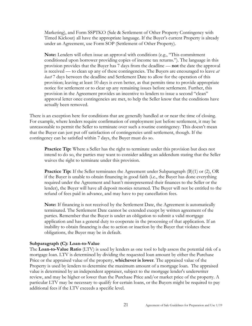Marketing), and Form SSPTKO (Sale & Settlement of Other Property Contingency with Timed Kickout) all have the appropriate language. If the Buyer's current Property is already under an Agreement, use Form SOP (Settlement of Other Property).

**Note:** Lenders will often issue an approval with conditions (e.g., "This commitment conditioned upon borrower providing copies of income tax returns."). The language in this provision provides that the Buyer has 7 days from the deadline — **not** the date the approval is received — to clean up any of these contingencies. The Buyers are encouraged to leave *at least* 7 days between the deadline and Settlement Date to allow for the operation of this provision; leaving at least 10 days is even better, as that permits time to provide appropriate notice for settlement or to clear up any remaining issues before settlement. Further, this provision in the Agreement provides an incentive to lenders to issue a second "clean" approval letter once contingencies are met, to help the Seller know that the conditions have actually been removed.

There is an exception here for conditions that are generally handled at or near the time of closing. For example, where lenders require confirmation of employment just before settlement, it may be unreasonable to permit the Seller to terminate over such a routine contingency. This doesn't mean that the Buyer can just put off satisfaction of contingencies until settlement, though. If the contingency can be satisfied within 7 days, the Buyer must do so.

**Practice Tip:** Where a Seller has the right to terminate under this provision but does not intend to do so, the parties may want to consider adding an addendum stating that the Seller waives the right to terminate under this provision.

**Practice Tip:** If the Seller terminates the Agreement under Subparagraph (B)(1) or (2), OR if the Buyer is unable to obtain financing in good faith (i.e., the Buyer has done everything required under the Agreement and hasn't misrepresented their finances to the Seller or the lender), the Buyer will have all deposit monies returned. The Buyer will not be entitled to the refund of fees paid in advance, and may have to pay cancellation fees.

**Note:** If financing is not received by the Settlement Date, the Agreement is automatically terminated. The Settlement Date cannot be extended except by written agreement of the parties. Remember that the Buyer is under an obligation to submit a valid mortgage application and has a general duty to cooperate in the processing of that application. If an inability to obtain financing is due to action or inaction by the Buyer that violates these obligations, the Buyer may be in default.

#### **Subparagraph (C): Loan-to-Value**

The **Loan-to-Value Ratio** (LTV) is used by lenders as one tool to help assess the potential risk of a mortgage loan. LTV is determined by dividing the requested loan amount by either the Purchase Price or the appraised value of the property, **whichever is lower**. The appraised value of the Property is used by lenders to determine the maximum amount of a mortgage loan. The appraised value is determined by an independent appraiser, subject to the mortgage lender's underwriter review, and may be higher or lower than the Purchase Price and/or market price of the property. A particular LTV may be necessary to qualify for certain loans, or the Buyers might be required to pay additional fees if the LTV exceeds a specific level.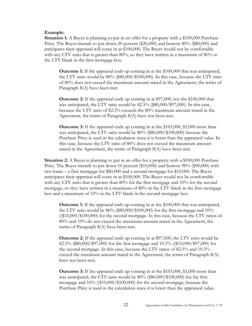#### **Example:**

**Situation 1:** A Buyer is planning to put in an offer for a property with a \$100,000 Purchase Price. The Buyer intends to put down 20 percent (\$20,000) and borrow 80% (\$80,000) and anticipates their appraisal will come in at \$100,000. The Buyer would not be comfortable with any LTV ratio that is greater than  $80\%$ , so they have written in a maximum of  $80\%$  in the LTV blank in the first mortgage box.

**Outcome 1:** If the appraisal ends up coming in at the \$100,000 that was anticipated, the LTV ratio would be 80% (\$80,000/\$100,000). In this case, because the LTV ratio of 80% does not exceed the maximum amount stated in the Agreement, the terms of Paragraph 8(A) have been met.

**Outcome 2:** If the appraisal ends up coming in at \$97,000, not the \$100,000 that was anticipated, the LTV ratio would be 82.5% (\$80,000/\$97,000). In this case, because the LTV ratio of 82.5% exceeds the 80% maximum amount stated in the Agreement, the terms of Paragraph 8(A) have not been met.

**Outcome 3:** If the appraisal ends up coming in at the \$103,000, \$3,000 more than was anticipated, the LTV ratio would be 80% (\$80,000/\$100,000) because the Purchase Price is used in the calculation since it is lower than the appraised value. In this case, because the LTV ratio of 80% does not exceed the maximum amount stated in the Agreement, the terms of Paragraph 8(A) have been met.

**Situation 2:** A Buyer is planning to put in an offer for a property with a \$100,000 Purchase Price. The Buyer intends to put down 10 percent (\$10,000) and borrow 90% (\$90,000) with two loans – a first mortgage for \$80,000 and a second mortgage for \$10,000. The Buyer anticipates their appraisal will come in at \$100,000. The Buyer would not be comfortable with any LTV ratio that is greater than 80% for the first mortgage and 10% for the second mortgage, so they have written in a maximum of 80% in the LTV blank in the first mortgage box and a maximum of 10% in the LTV blank in the second mortgage box.

**Outcome 1:** If the appraisal ends up coming in at the \$100,000 that was anticipated, the LTV ratio would be 80% (\$80,000/\$100,000) for the first mortgage and 10%  $((\$10,000/\$100,000)$  for the second mortgage. In this case, because the LTV ratios of 80% and 10% do not exceed the maximum amount stated in the Agreement, the terms of Paragraph 8(A) have been met.

**Outcome 2:** If the appraisal ends up coming in at \$97,000, the LTV ratio would be 82.5% (\$80,000/\$97,000) for the first mortgage and 10.3% ((\$10,000/\$97,000) for the second mortgage. In this case, because the LTV ratios of 82.5% and 10.3% exceed the maximum amount stated in the Agreement, the terms of Paragraph 8(A) have not been met.

**Outcome 3:** If the appraisal ends up coming in at the \$103,000, \$3,000 more than was anticipated, the LTV ratio would be 80% (\$80,000/\$100,000) for the first mortgage and 10% ((\$10,000/\$100,000) for the second mortgage, because the Purchase Price is used in the calculation since it is lower than the appraised value.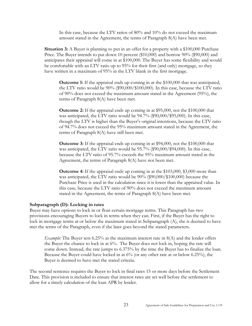In this case, because the LTV ratios of 80% and 10% do not exceed the maximum amount stated in the Agreement, the terms of Paragraph 8(A) have been met.

**Situation 3:** A Buyer is planning to put in an offer for a property with a \$100,000 Purchase Price. The Buyer intends to put down 10 percent (\$10,000) and borrow 90% (\$90,000) and anticipates their appraisal will come in at \$100,000. The Buyer has some flexibility and would be comfortable with an LTV ratio up to 95% for their first (and only) mortgage, so they have written in a maximum of 95% in the LTV blank in the first mortgage.

**Outcome 1:** If the appraisal ends up coming in at the \$100,000 that was anticipated, the LTV ratio would be 90% (\$90,000/\$100,000). In this case, because the LTV ratio of 90% does not exceed the maximum amount stated in the Agreement (95%), the terms of Paragraph 8(A) have been met.

**Outcome 2:** If the appraisal ends up coming in at \$95,000, not the \$100,000 that was anticipated, the LTV ratio would be 94.7% (\$90,000/\$95,000). In this case, though the LTV is higher than the Buyer's original intentions, because the LTV ratio of 94.7% does not exceed the 95% maximum amount stated in the Agreement, the terms of Paragraph 8(A) have still been met.

**Outcome 3:** If the appraisal ends up coming in at \$94,000, not the \$100,000 that was anticipated, the LTV ratio would be 95.7% (\$90,000/\$94,000). In this case, because the LTV ratio of 95.7% exceeds the 95% maximum amount stated in the Agreement, the terms of Paragraph 8(A) have not been met.

**Outcome 4:** If the appraisal ends up coming in at the \$103,000, \$3,000 more than was anticipated, the LTV ratio would be 90% (\$90,000/\$100,000) because the Purchase Price is used in the calculation since it is lower than the appraised value. In this case, because the LTV ratio of 90% does not exceed the maximum amount stated in the Agreement, the terms of Paragraph 8(A) have been met.

#### **Subparagraph (D): Locking in rates**

Buyer may have options to lock in or float certain mortgage terms. This Paragraph has two provisions encouraging Buyers to lock in terms when they can. First, if the Buyer has the right to lock in mortgage terms at or below the maximum stated in Subparagraph (A), she is deemed to have met the terms of the Paragraph, even if she later goes beyond the stated parameters.

*Example:* The Buyer sets 6.25% as the maximum interest rate in 8(A) and the lender offers the Buyer the chance to lock in at 6%. The Buyer does not lock in, hoping the rate will come down. Instead, the rate jumps to 6.375% by the time the Buyer has to finalize the loan. Because the Buyer could have locked in at 6% (or any other rate at or below 6.25%), the Buyer is deemed to have met the stated criteria.

The second sentence requires the Buyer to lock in final rates 15 or more days before the Settlement Date. This provision is included to ensure that interest rates are set well before the settlement to allow for a timely calculation of the loan APR by lender.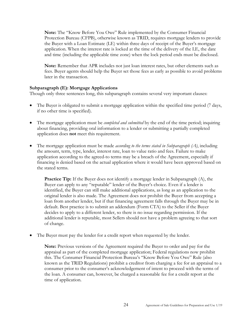**Note:** The "Know Before You Owe" Rule implemented by the Consumer Financial Protection Bureau (CFPB), otherwise known as TRID, requires mortgage lenders to provide the Buyer with a Loan Estimate (LE) within three days of receipt of the Buyer's mortgage application. When the interest rate is locked at the time of the delivery of the LE, the date and time (including the applicable time zone) when the lock period ends must be disclosed.

**Note:** Remember that APR includes not just loan interest rates, but other elements such as fees. Buyer agents should help the Buyer set those fees as early as possible to avoid problems later in the transaction.

#### **Subparagraph (E): Mortgage Applications**

Though only three sentences long, this subparagraph contains several very important clauses:

- The Buyer is obligated to submit a mortgage application within the specified time period (7 days, if no other time is specified).
- The mortgage application must be *completed and submitted* by the end of the time period; inquiring about financing, providing oral information to a lender or submitting a partially completed application does **not** meet this requirement.
- The mortgage application must be made *according to the terms stated in Subparagraph (A)*, including the amount, term, type, lender, interest rate, loan to value ratio and fees. Failure to make application according to the agreed-to terms may be a breach of the Agreement, especially if financing is denied based on the actual application where it would have been approved based on the stated terms.

**Practice Tip:** If the Buyer does not identify a mortgage lender in Subparagraph (A), the Buyer can apply to any "reputable" lender of the Buyer's choice. Even if a lender is identified, the Buyer can still make additional applications, as long as an application to the original lender is also made. The Agreement does not prohibit the Buyer from accepting a loan from another lender, but if that financing agreement falls through the Buyer may be in default. Best practice is to submit an addendum (Form CTA) to the Seller if the Buyer decides to apply to a different lender, so there is no issue regarding permission. If the additional lender is reputable, most Sellers should not have a problem agreeing to that sort of change.

The Buyer must pay the lender for a credit report when requested by the lender.

**Note:** Previous versions of the Agreement required the Buyer to order and pay for the appraisal as part of the completed mortgage application; Federal regulations now prohibit this. The Consumer Financial Protection Bureau's "Know Before You Owe" Rule (also known as the TRID Regulations) prohibit a creditor from charging a fee for an appraisal to a consumer prior to the consumer's acknowledgement of intent to proceed with the terms of the loan. A consumer can, however, be charged a reasonable fee for a credit report at the time of application.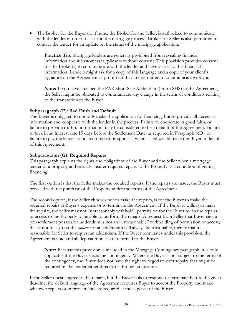• The Broker for the Buyer or, if none, the Broker for the Seller, is authorized to communicate with the lender in order to assist in the mortgage process. Broker for Seller is also permitted to contact the lender for an update on the status of the mortgage application.

**Practice Tip:** Mortgage lenders are generally prohibited from revealing financial information about customers/applicants without consent. This provision provides consent for the Broker(s) to communicate with the lender and have access to this financial information. Lenders might ask for a copy of this language and a copy of your client's signature on the Agreement as proof that they are permitted to communicate with you.

**Note:** If you have attached the PAR Short Sale Addendum (Form SHS) to the Agreement, the Seller might be obligated to communicate any change in the terms or conditions relating to the transaction to the Buyer.

#### **Subparagraph (F): Bad Faith and Default**

The Buyer is obligated to not only make the application for financing, but to provide all necessary information and cooperate with the lender in the process. Failure to cooperate in good faith, or failure to provide truthful information, may be considered to be a default of the Agreement. Failure to lock in an interest rate 15 days before the Settlement Date, as required in Paragraph 8(D), or failure to pay the lender for a credit report or appraisal when asked would make the Buyer in default of this Agreement.

#### **Subparagraph (G): Required Repairs**

This paragraph explains the rights and obligations of the Buyer and the Seller when a mortgage lender or a property and casualty insurer requires repairs to the Property as a condition of getting financing.

The first option is that the Seller makes the required repairs. If the repairs are made, the Buyer must proceed with the purchase of the Property under the terms of the Agreement.

The second option, if the Seller chooses not to make the repairs, is for the Buyer to make the required repairs at Buyer's expense or to terminate the Agreement. If the Buyer is willing to make the repairs, the Seller may not "unreasonably withhold" permission for the Buyer to do the repairs, or access to the Property to be able to perform the repairs. A request from Seller that Buyer sign a pre-settlement possession addendum is not an "unreasonable" withholding of permission or access; this is not to say that the *contents* of an addendum will always be reasonable, merely that it's reasonable for Seller to request an addendum. If the Buyer terminates under this provision, the Agreement is void and all deposit monies are returned to the Buyer.

**Note:** Because this provision is included in the Mortgage Contingency paragraph, it is only applicable if the Buyer elects the contingency. Where the Buyer is not subject to the terms of the contingency, the Buyer does not have the right to negotiate over repairs that might be required by the lender either directly or through an insurer.

If the Seller doesn't agree to the repairs, but the Buyer fails to respond or terminate before the given deadline, the default language of the Agreement requires Buyer to accept the Property and make whatever repairs or improvements are required at the expense of the Buyer.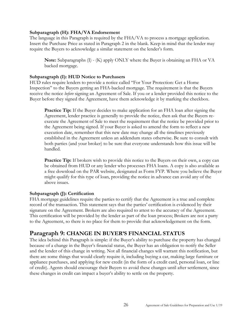#### **Subparagraph (H): FHA/VA Endorsement**

The language in this Paragraph is required by the FHA/VA to process a mortgage application. Insert the Purchase Price as stated in Paragraph 2 in the blank. Keep in mind that the lender may require the Buyers to acknowledge a similar statement on the lender's form.

**Note:** Subparagraphs (I) - (K) apply ONLY where the Buyer is obtaining an FHA or VA backed mortgage.

#### **Subparagraph (I): HUD Notice to Purchasers**

HUD rules require lenders to provide a notice called "For Your Protection: Get a Home Inspection" to the Buyers getting an FHA-backed mortgage. The requirement is that the Buyers receive the notice *before* signing an Agreement of Sale. If you or a lender provided this notice to the Buyer before they signed the Agreement, have them acknowledge it by marking the checkbox.

**Practice Tip:** If the Buyer decides to make application for an FHA loan after signing the Agreement, lender practice is generally to provide the notice, then ask that the Buyers reexecute the Agreement of Sale to meet the requirement that the notice be provided prior to the Agreement being signed. If your Buyer is asked to amend the form to reflect a new execution date, remember that this new date may change all the timelines previously established in the Agreement unless an addendum states otherwise. Be sure to consult with both parties (and your broker) to be sure that everyone understands how this issue will be handled.

**Practice Tip:** If brokers wish to provide this notice to the Buyers on their own, a copy can be obtained from HUD or any lender who processes FHA loans. A copy is also available as a free download on the PAR website, designated as Form FYP. Where you believe the Buyer might qualify for this type of loan, providing the notice in advance can avoid any of the above issues.

#### **Subparagraph (J): Certification**

FHA mortgage guidelines require the parties to certify that the Agreement is a true and complete record of the transaction. This statement says that the parties' certification is evidenced by their signature on the Agreement. Brokers are also required to attest to the accuracy of the Agreement. This certification will be provided by the lender as part of the loan process; Brokers are not a party to the Agreement, so there is no place for them to provide that acknowledgement on the form.

# <span id="page-25-0"></span>**Paragraph 9: CHANGE IN BUYER'S FINANCIAL STATUS**

The idea behind this Paragraph is simple: if the Buyer's ability to purchase the property has changed because of a change in the Buyer's financial status, the Buyer has an obligation to notify the Seller and the lender of this change in writing. Not all financial changes will warrant this notification, but there are some things that would clearly require it, including buying a car, making large furniture or appliance purchases, and applying for new credit (in the form of a credit card, personal loan, or line of credit). Agents should encourage their Buyers to avoid these changes until after settlement, since these changes in credit can impact a buyer's ability to settle on the property.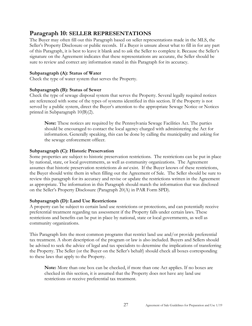# <span id="page-26-0"></span>**Paragraph 10: SELLER REPRESENTATIONS**

The Buyer may often fill out this Paragraph based on seller representations made in the MLS, the Seller's Property Disclosure or public records. If a Buyer is unsure about what to fill in for any part of this Paragraph, it is best to leave it blank and to ask the Seller to complete it. Because the Seller's signature on the Agreement indicates that these representations are accurate, the Seller should be sure to review and correct any information stated in this Paragraph for its accuracy.

## **Subparagraph (A): Status of Water**

Check the type of water system that serves the Property.

#### **Subparagraph (B): Status of Sewer**

Check the type of sewage disposal system that serves the Property. Several legally required notices are referenced with some of the types of systems identified in this section. If the Property is not served by a public system, direct the Buyer's attention to the appropriate Sewage Notice or Notices printed in Subparagraph 10(B)(2).

**Note:** These notices are required by the Pennsylvania Sewage Facilities Act. The parties should be encouraged to contact the local agency charged with administering the Act for information. Generally speaking, this can be done by calling the municipality and asking for the sewage enforcement officer.

## **Subparagraph (C): Historic Preservation**

Some properties are subject to historic preservation restrictions. The restrictions can be put in place by national, state, or local governments, as well as community organizations. The Agreement assumes that historic preservation restrictions *do not* exist. If the Buyer knows of these restrictions, the Buyer should write them in when filling out the Agreement of Sale. The Seller should be sure to review this paragraph for its accuracy and revise or update the restrictions written in the Agreement as appropriate. The information in this Paragraph should match the information that was disclosed on the Seller's Property Disclosure (Paragraph 20(A) in PAR Form SPD).

#### **Subparagraph (D): Land Use Restrictions**

A property can be subject to certain land use restrictions or protections, and can potentially receive preferential treatment regarding tax assessment if the Property falls under certain laws. These restrictions and benefits can be put in place by national, state or local governments, as well as community organizations.

This Paragraph lists the most common programs that restrict land use and/or provide preferential tax treatment. A short description of the program or law is also included. Buyers and Sellers should be advised to seek the advice of legal and tax specialists to determine the implications of transferring the Property. The Seller (or the Buyer on the Seller's behalf) should check all boxes corresponding to these laws that apply to the Property.

**Note:** More than one box can be checked, if more than one Act applies. If no boxes are checked in this section, it is assumed that the Property does not have any land use restrictions or receive preferential tax treatment.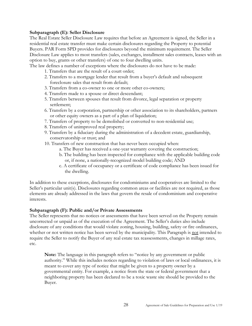#### **Subparagraph (E): Seller Disclosure**

The Real Estate Seller Disclosure Law requires that before an Agreement is signed, the Seller in a residential real estate transfer must make certain disclosures regarding the Property to potential Buyers. PAR Form SPD provides for disclosures beyond the minimum requirement. The Seller Disclosure Law applies to most transfers (sales, exchanges, installment sales contracts, leases with an option to buy, grants or other transfers) of one to four dwelling units.

The law defines a number of exceptions where the disclosures do not have to be made:

- 1. Transfers that are the result of a court order;
- 2. Transfers to a mortgage lender that result from a buyer's default and subsequent foreclosure sales that result from default;
- 3. Transfers from a co-owner to one or more other co-owners;
- 4. Transfers made to a spouse or direct descendant;
- 5. Transfers between spouses that result from divorce, legal separation or property settlement;
- 6. Transfers by a corporation, partnership or other association to its shareholders, partners or other equity owners as a part of a plan of liquidation;
- 7. Transfers of property to be demolished or converted to non-residential use;
- 8. Transfers of unimproved real property;
- 9. Transfers by a fiduciary during the administration of a decedent estate, guardianship, conservatorship or trust; and
- 10. Transfers of new construction that has never been occupied when:
	- a. The Buyer has received a one-year warranty covering the construction;
	- b. The building has been inspected for compliance with the applicable building code or, if none, a nationally-recognized model building code; AND
	- c. A certificate of occupancy or a certificate of code compliance has been issued for the dwelling.

In addition to these exceptions, disclosures for condominiums and cooperatives are limited to the Seller's particular unit(s). Disclosures regarding common areas or facilities are not required, as those elements are already addressed in the laws that govern the resale of condominium and cooperative interests.

#### **Subparagraph (F): Public and/or Private Assessments**

The Seller represents that no notices or assessments that have been served on the Property remain uncorrected or unpaid as of the execution of the Agreement. The Seller's duties also include disclosure of any conditions that would violate zoning, housing, building, safety or fire ordinances, whether or not written notice has been served by the municipality. This Paragraph is not intended to require the Seller to notify the Buyer of any real estate tax reassessments, changes in millage rates, etc.

**Note:** The language in this paragraph refers to "notice by any government or public authority." While this includes notices regarding to violation of laws or local ordinances, it is meant to cover any type of notice that might be given to a property owner by a governmental entity. For example, a notice from the state or federal government that a neighboring property has been declared to be a toxic waste site should be provided to the Buyer.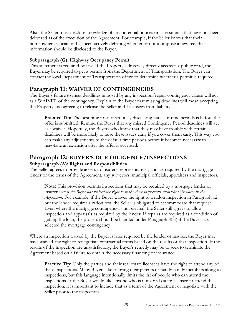Also, the Seller must disclose knowledge of any potential notices or assessments that have not been delivered as of the execution of the Agreement. For example, if the Seller knows that their homeowner association has been actively debating whether or not to impose a new fee, that information should be disclosed to the Buyer.

## **Subparagraph (G): Highway Occupancy Permit**

This statement is required by law. If the Property's driveway directly accesses a public road, the Buyer may be required to get a permit from the Department of Transportation. The Buyer can contact the local Department of Transportation office to determine whether a permit is required.

# <span id="page-28-0"></span>**Paragraph 11: WAIVER OF CONTINGENCIES**

The Buyer's failure to meet deadlines imposed by any inspection/repair contingency clause will act as a WAIVER of the contingency. Explain to the Buyer that missing deadlines will mean accepting the Property and agreeing to release the Seller and Licensees from liability.

**Practice Tip:** The best time to start seriously discussing issues of time periods is before the offer is submitted. Remind the Buyer that any missed Contingency Period deadlines will act as a waiver. Hopefully, the Buyers who know that they may have trouble with certain deadlines will be more likely to raise these issues early if you cover them early. This way you can make any adjustments to the default time periods before it becomes necessary to negotiate an extension after the offer is accepted.

# <span id="page-28-1"></span>**Paragraph 12: BUYER'S DUE DILIGENCE/INSPECTIONS**

### **Subparagraph (A): Rights and Responsibilities**

The Seller agrees to provide access to insurers' representatives, and, as required by the mortgage lender or the terms of the Agreement, any surveyors, municipal officials, appraisers and inspectors.

**Note:** This provision permits inspections that may be required by a mortgage lender or insurer *even if the Buyer has waived the right to make these inspections themselves elsewhere in the Agreement*. For example, if the Buyer waives the right to a radon inspection in Paragraph 12, but the lender requires a radon test, the Seller is obligated to accommodate that request. Even where the mortgage contingency is not elected, the Seller still agrees to allow inspection and appraisals as required by the lender. If repairs are required as a condition of getting the loan, the process should be handled under Paragraph 8(H) if the Buyer has selected the mortgage contingency.

Where an inspection waived by the Buyer is later required by the lender or insurer, the Buyer may have waived any right to renegotiate contractual terms based on the results of that inspection. If the results of the inspection are unsatisfactory, the Buyer's remedy may be to seek to terminate the Agreement based on a failure to obtain the necessary financing or insurance.

**Practice Tip:** Only the parties and their real estate licensees have the right to attend any of these inspections. Many Buyers like to bring their parents or handy family members along to inspections, but this language intentionally limits the list of people who can attend the inspections. If the Buyer would like anyone who is not a real estate licensee to attend the inspection, it is important to include that as a term of the Agreement or negotiate with the Seller prior to the inspection.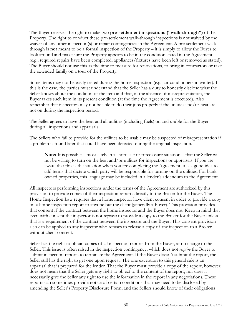The Buyer reserves the right to make two **pre-settlement inspections ("walk-through")** of the Property. The right to conduct these pre-settlement walk-through inspections is not waived by the waiver of any other inspection(s) or repair contingencies in the Agreement. A pre-settlement walkthrough is **not** meant to be a formal inspection of the Property – it is simply to allow the Buyer to look around and make sure the Property appears to be in the condition stated in the Agreement (e.g., required repairs have been completed, appliances/fixtures have been left or removed as stated). The Buyer should not use this as the time to measure for renovations, to bring in contractors or take the extended family on a tour of the Property.

Some items may not be easily tested during the home inspection (e.g., air conditioners in winter). If this is the case, the parties must understand that the Seller has a duty to honestly disclose what the Seller knows about the condition of the item and that, in the absence of misrepresentation, the Buyer takes such item in its present condition (at the time the Agreement is executed). Also remember that inspectors may not be able to do their jobs properly if the utilities and/or heat are not on during the inspection period.

The Seller agrees to have the heat and all utilities (including fuels) on and usable for the Buyer during all inspections and appraisals.

The Sellers who fail to provide for the utilities to be usable may be suspected of misrepresentation if a problem is found later that could have been detected during the original inspection.

**Note:** It is possible—most likely in a short sale or foreclosure situation—that the Seller will not be willing to turn on the heat and/or utilities for inspections or appraisals. If you are aware that this is the situation when you are completing the Agreement, it is a good idea to add terms that dictate which party will be responsible for turning on the utilities. For bankowned properties, this language may be included in a lender's addendum to the Agreement.

All inspectors performing inspections under the terms of the Agreement are authorized by this provision to provide copies of their inspection reports directly to the Broker for the Buyer. The Home Inspection Law requires that a home inspector have client consent in order to provide a copy on a home inspection report to anyone but the client (generally a Buyer). This provision provides that consent if the contract between the home inspector and the Buyer does not. Keep in mind that even with consent the inspector is not *required* to provide a copy to the Broker for the Buyer unless that is a requirement of the contract between the inspector and the Buyer. This consent provision also can be applied to any inspector who refuses to release a copy of any inspection to a Broker without client consent.

Seller has the right to obtain copies of all inspection reports from the Buyer, at no charge to the Seller. This issue is often raised in the inspection contingency, which does not *require* the Buyer to submit inspection reports to terminate the Agreement. If the Buyer doesn't submit the report, the Seller still has the right to get one upon request. The one exception to this general rule is an appraisal that is prepared for the lender. That the Buyer must provide a copy of the report, however, does not mean that the Seller gets any right to object to the content of the report, nor does it necessarily give the Seller any right to use the information in the report in any negotiations. These reports can sometimes provide notice of certain conditions that may need to be disclosed by amending the Seller's Property Disclosure Form, and the Sellers should know of their obligations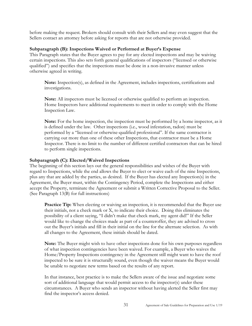before making the request. Brokers should consult with their Sellers and may even suggest that the Sellers contact an attorney before asking for reports that are not otherwise provided.

#### **Subparagraph (B): Inspections Waived or Performed at Buyer's Expense**

This Paragraph states that the Buyer agrees to pay for any elected inspections and may be waiving certain inspections. This also sets forth general qualifications of inspectors ("licensed or otherwise qualified") and specifies that the inspections must be done in a non-invasive manner unless otherwise agreed in writing.

**Note:** Inspection(s), as defined in the Agreement, includes inspections, certifications and investigations.

**Note:** All inspectors must be licensed or otherwise qualified to perform an inspection. Home Inspectors have additional requirements to meet in order to comply with the Home Inspection Law.

**Note:** For the home inspection, the inspection must be performed by a home inspector, as it is defined under the law. Other inspections (i.e., wood infestation, radon) must be performed by a "licensed or otherwise-qualified professional". If the same contractor is carrying out more than one of these other Inspections, that contractor must be a Home Inspector. There is no limit to the number of different certified contractors that can be hired to perform single inspections.

#### **Subparagraph (C): Elected/Waived Inspections**

The beginning of this section lays out the general responsibilities and wishes of the Buyer with regard to Inspections, while the end allows the Buyer to elect or waive each of the nine Inspections, plus any that are added by the parties, as desired. If the Buyer has elected any Inspection(s) in the Agreement, the Buyer must, within the Contingency Period, complete the Inspections and either accept the Property, terminate the Agreement or submit a Written Corrective Proposal to the Seller. (See Paragraph 13(B) for full instructions)

**Practice Tip:** When electing or waiving an inspection, it is recommended that the Buyer use their initials, not a check mark or X, to indicate their choice. Doing this eliminates the possibility of a client saying, "I didn't make that check mark, my agent did!" If the Seller would like to change the choices made as part of a counteroffer, they are advised to cross out the Buyer's initials and fill in their initial on the line for the alternate selection. As with all changes to the Agreement, these initials should be dated.

**Note:** The Buyer might wish to have other inspections done for his own purposes regardless of what inspection contingencies have been waived. For example, a Buyer who waives the Home/Property Inspections contingency in the Agreement still might want to have the roof inspected to be sure it is structurally sound, even though the waiver means the Buyer would be unable to negotiate new terms based on the results of any report.

In that instance, best practice is to make the Sellers aware of the issue and negotiate some sort of additional language that would permit access to the inspector(s) under these circumstances. A Buyer who sends an inspector without having alerted the Seller first may find the inspector's access denied.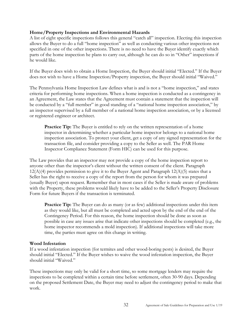#### **Home/Property Inspections and Environmental Hazards**

A list of eight specific inspections follows this general "catch all" inspection. Electing this inspection allows the Buyer to do a full "home inspection" as well as conducting various other inspections not specified in one of the other inspections. There is no need to have the Buyer identify exactly which parts of the home inspection he plans to carry out, although he can do so in "Other" inspections if he would like.

If the Buyer does wish to obtain a Home Inspection, the Buyer should initial "Elected." If the Buyer does not wish to have a Home Inspection/Property inspection, the Buyer should initial "Waived."

The Pennsylvania Home Inspection Law defines what is and is not a "home inspection," and states criteria for performing home inspections. When a home inspection is conducted as a contingency in an Agreement, the Law states that the Agreement must contain a statement that the inspection will be conducted by a "full member" in good standing of a "national home inspection association," by an inspector supervised by a full member of a national home inspection association, or by a licensed or registered engineer or architect.

**Practice Tip:** The Buyer is entitled to rely on the written representation of a home inspector in determining whether a particular home inspector belongs to a national home inspection association. To protect your client, get a copy of any signed representation for the transaction file, and consider providing a copy to the Seller as well. The PAR Home Inspector Compliance Statement (Form HIC) can be used for this purpose.

The Law provides that an inspector may not provide a copy of the home inspection report to anyone other than the inspector's client without the written consent of the client. Paragraph  $12(A)(4)$  provides permission to give it to the Buyer Agent and Paragraph  $12(A)(5)$  states that a Seller has the right to receive a copy of the report from the person for whom it was prepared (usually Buyer) upon request. Remember that in most cases if the Seller is made aware of problems with the Property, these problems would likely have to be added to the Seller's Property Disclosure Form for future Buyers if the transaction is terminated.

**Practice Tip:** The Buyer can do as many (or as few) additional inspections under this item as they would like, but all must be completed and acted upon by the end of the end of the Contingency Period. For this reason, the home inspection should be done as soon as possible in case any issues arise that indicate other inspections should be completed (e.g., the home inspector recommends a mold inspection). If additional inspections will take more time, the parties must agree on this change in writing.

#### **Wood Infestation**

If a wood infestation inspection (for termites and other wood-boring pests) is desired, the Buyer should initial "Elected." If the Buyer wishes to waive the wood infestation inspection, the Buyer should initial "Waived."

These inspections may only be valid for a short time, so some mortgage lenders may require the inspections to be completed within a certain time before settlement, often 30-90 days. Depending on the proposed Settlement Date, the Buyer may need to adjust the contingency period to make that work.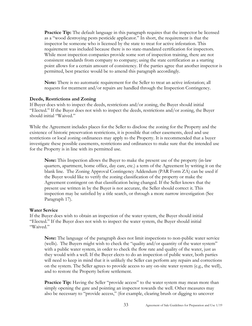**Practice Tip:** The default language in this paragraph requires that the inspector be licensed as a "wood destroying pests pesticide applicator." In short, the requirement is that the inspector be someone who is licensed by the state to treat for active infestation. This requirement was included because there is no state-mandated certification for inspectors. While most inspection companies provide some sort of inspection training, there are not consistent standards from company to company; using the state certification as a starting point allows for a certain amount of consistency. If the parties agree that another inspector is permitted, best practice would be to amend this paragraph accordingly.

**Note:** There is no automatic requirement for the Seller to treat an active infestation; all requests for treatment and/or repairs are handled through the Inspection Contingency.

#### **Deeds, Restrictions and Zoning**

If Buyer does wish to inspect the deeds, restrictions and/or zoning, the Buyer should initial "Elected." If the Buyer does not wish to inspect the deeds, restrictions and/or zoning, the Buyer should initial "Waived."

While the Agreement includes places for the Seller to disclose the zoning for the Property and the existence of historic preservation restrictions, it is possible that other easements, deed and use restrictions or local zoning ordinances may apply to the Property. It is recommended that a buyer investigate these possible easements, restrictions and ordinances to make sure that the intended use for the Property is in line with its permitted use.

**Note:** This Inspection allows the Buyer to make the present use of the property (in-law quarters, apartment, home office, day care, etc.) a term of the Agreement by writing it on the blank line. The Zoning Approval Contingency Addendum (PAR Form ZA) can be used if the Buyer would like to verify the zoning classification of the property or make the Agreement contingent on that classification being changed. If the Seller knows that the present use written in by the Buyer is not accurate, the Seller should correct it. This inspection may be satisfied by a title search, or through a more narrow investigation (See Paragraph 17).

#### **Water Service**

If the Buyer does wish to obtain an inspection of the water system, the Buyer should initial "Elected." If the Buyer does not wish to inspect the water system, the Buyer should initial "Waived."

**Note:** The language of the paragraph does not limit inspections to non-public water service (wells). The Buyers might wish to check the "quality and/or quantity of the water system" with a public water system, in order to check the flow rate and quality of the water, just as they would with a well. If the Buyer elects to do an inspection of public water, both parties will need to keep in mind that it is unlikely the Seller can perform any repairs and corrections on the system. The Seller agrees to provide access to any on-site water system (e.g., the well), and to restore the Property before settlement.

**Practice Tip:** Having the Seller "provide access" to the water system may mean more than simply opening the gate and pointing an inspector towards the well. Other measures may also be necessary to "provide access," (for example, clearing brush or digging to uncover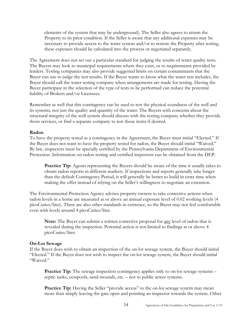elements of the system that may be underground). The Seller also agrees to return the Property to its prior condition. If the Seller is aware that any additional expenses may be necessary to provide access to the water system and/or to restore the Property after testing, these expenses should be calculated into the process or negotiated separately.

The Agreement does not set out a particular standard for judging the results of water quality tests. The Buyers may look to municipal requirements where they exist, or to requirements provided by lenders. Testing companies may also provide suggested limits on certain contaminants that the Buyer can use to judge the test results. If the Buyer wants to know what the water test includes, the Buyer should call the water testing company when arrangements are made for testing. Having the Buyer participate in the selection of the type of tests to be performed can reduce the potential liability of Brokers and/or Licensees.

Remember as well that this contingency can be used to test the physical soundness of the well and its systems, not just the quality and quantity of the water. The Buyers with concerns about the structural integrity of the well system should discuss with the testing company whether they provide those services, or find a separate company to test those items if desired.

#### **Radon**

To have the property tested as a contingency in the Agreement, the Buyer must initial "Elected." If the Buyer does not want to have the property tested for radon, the Buyer should initial "Waived." By law, inspectors must be specially certified by the Pennsylvania Department of Environmental Protection. Information on radon testing and certified inspectors can be obtained from the DEP.

**Practice Tip:** Agents representing the Buyers should be aware of the time it usually takes to obtain radon reports in different markets. If inspections and reports generally take longer than the default Contingency Period, it will generally be better to build in extra time when making the offer instead of relying on the Seller's willingness to negotiate an extension.

The Environmental Protection Agency advises property owners to take corrective actions when radon levels in a home are measured at or above an annual exposure level of 0.02 working levels (4 picoCuries/liter). There are also other standards in existence, so the Buyer may not feel comfortable even with levels around 4 picoCuries/liter.

**Note:** The Buyer can submit a written corrective proposal for any level of radon that is revealed during the inspection. Potential action is not limited to findings at or above 4 picoCuries/liter.

#### **On-Lot Sewage**

If the Buyer does wish to obtain an inspection of the on-lot sewage system, the Buyer should initial "Elected." If the Buyer does not wish to inspect the on-lot sewage system, the Buyer should initial "Waived."

**Practice Tip:** The sewage inspection contingency applies only to on-lot sewage systems – septic tanks, cesspools, sand mounds, etc. – not to public sewer systems.

**Practice Tip:** Having the Seller "provide access" to the on-lot sewage system may mean more than simply leaving the gate open and pointing an inspector towards the system. Other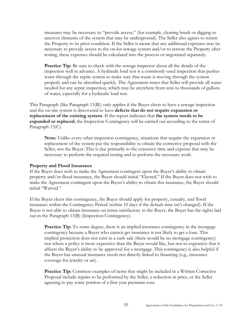measures may be necessary to "provide access," (for example, clearing brush or digging to uncover elements of the system that may be underground). The Seller also agrees to return the Property to its prior condition. If the Seller is aware that any additional expenses may be necessary to provide access to the on-lot sewage system and/or to restore the Property after testing, these expenses should be calculated into the process or negotiated separately.

**Practice Tip:** Be sure to check with the sewage inspector about all the details of the inspection well in advance. A hydraulic load test is a commonly-used inspection that pushes water through the septic system to make sure that waste is moving through the system properly and can be absorbed quickly. The Agreement states that Seller will provide all water needed for any septic inspection, which may be anywhere from tens to thousands of gallons of water, especially for a hydraulic load test.

This Paragraph (like Paragraph 13(B)) only applies if the Buyer elects to have a sewage inspection and the on-site system is discovered to have **defects that do not require expansion or replacement of the existing system.** If the report indicates that **the system needs to be expanded or replaced**, the Inspection Contingency will be carried out according to the terms of Paragraph 13(C).

**Note:** Unlike every other inspection contingency, situations that require the expansion or replacement of the system put the responsibility to obtain the corrective proposal with the Seller, not the Buyer. This is due primarily to the extensive time and expense that may be necessary to perform the required testing and to perform the necessary work.

#### **Property and Flood Insurance**

If the Buyer does wish to make the Agreement contingent upon the Buyer's ability to obtain property and/or flood insurance, the Buyer should initial "Elected." If the Buyer does not wish to make the Agreement contingent upon the Buyer's ability to obtain this insurance, the Buyer should initial "Waived."

If the Buyer elects this contingency, the Buyer should apply for property, casualty, and flood insurance within the Contingency Period (within 10 days if the default time isn't changed). If the Buyer is not able to obtain insurance on terms satisfactory to the Buyer, the Buyer has the rights laid out in the Paragraph 13(B) (Inspection Contingency).

**Practice Tip:** To some degree, there is an implied insurance contingency in the mortgage contingency because a Buyer who cannot get insurance is not likely to get a loan. This implied protection does not exist in a cash sale (there would be no mortgage contingency) nor where a policy is more expensive than the Buyer would like, but not so expensive that it affects the Buyer's ability to be approved for a mortgage. This contingency is also helpful if the Buyer has unusual insurance needs not directly linked to financing (e.g., insurance coverage for jewelry or art).

**Practice Tip:** Common examples of items that might be included in a Written Corrective Proposal include repairs to be performed by the Seller, a reduction in price, or the Seller agreeing to pay some portion of a first year premium cost.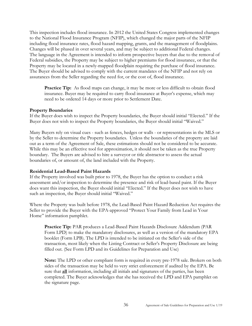This inspection includes flood insurance. In 2012 the United States Congress implemented changes to the National Flood Insurance Program (NFIP), which changed the major parts of the NFIP including flood insurance rates, flood hazard mapping, grants, and the management of floodplains. Changes will be phased in over several years, and may be subject to additional Federal changes. The language in the Agreement is intended to inform prospective buyers that due to the removal of Federal subsidies, the Property may be subject to higher premiums for flood insurance, or that the Property may be located in a newly-mapped floodplain requiring the purchase of flood insurance. The Buyer should be advised to comply with the current mandates of the NFIP and not rely on assurances from the Seller regarding the need for, or the cost of, flood insurance.

**Practice Tip:** As flood maps can change, it may be more or less difficult to obtain flood insurance. Buyer may be required to carry flood insurance at Buyer's expense, which may need to be ordered 14 days or more prior to Settlement Date.

#### **Property Boundaries**

If the Buyer does wish to inspect the Property boundaries, the Buyer should initial "Elected." If the Buyer does not wish to inspect the Property boundaries, the Buyer should initial "Waived."

Many Buyers rely on visual cues - such as fences, hedges or walls - or representations in the MLS or by the Seller to determine the Property boundaries. Unless the boundaries of the property are laid out as a term of the Agreement of Sale, these estimations should not be considered to be accurate. While this may be an effective tool for approximation, it should not be taken as the true Property boundary. The Buyers are advised to hire a surveyor or title abstractor to assess the actual boundaries of, or amount of, the land included with the Property.

#### **Residential Lead-Based Paint Hazards**

If the Property involved was built prior to 1978, the Buyer has the option to conduct a risk assessment and/or inspection to determine the presence and risk of lead-based paint. If the Buyer does want this inspection, the Buyer should initial "Elected." If the Buyer does not wish to have such an inspection, the Buyer should initial "Waived."

Where the Property was built before 1978, the Lead-Based Paint Hazard Reduction Act requires the Seller to provide the Buyer with the EPA-approved "Protect Your Family from Lead in Your Home" information pamphlet.

**Practice Tip:** PAR produces a Lead-Based Paint Hazards Disclosure Addendum (PAR Form LPD) to make the mandatory disclosures, as well as a version of the mandatory EPA booklet (Form LPB). The LPD is intended to be initiated on the Seller's side of the transaction, most likely when the Listing Contract or Seller's Property Disclosure are being filled out. (See Form LPD and its Guidelines for Preparation and Use)

**Note:** The LPD or other compliant form is required in every pre-1978 sale. Brokers on both sides of the transaction may be held to very strict enforcement if audited by the EPA. Be sure that **all** information, including all initials and signatures of the parties, has been completed. The Buyer acknowledges that she has received the LPD and EPA pamphlet on the signature page.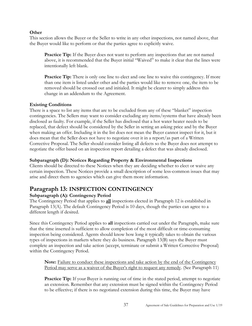#### **Other**

This section allows the Buyer or the Seller to write in any other inspections, not named above, that the Buyer would like to perform or that the parties agree to explicitly waive.

Practice Tip: If the Buyer does not want to perform any inspections that are not named above, it is recommended that the Buyer initial "Waived" to make it clear that the lines were intentionally left blank.

**Practice Tip:** There is only one line to elect and one line to waive this contingency. If more than one item is listed under other and the parties would like to remove one, the item to be removed should be crossed out and initialed. It might be clearer to simply address this change in an addendum to the Agreement.

#### **Existing Conditions**

There is a space to list any items that are to be excluded from any of these "blanket" inspection contingencies. The Sellers may want to consider excluding any items/systems that have already been disclosed as faulty. For example, if the Seller has disclosed that a hot water heater needs to be replaced, that defect should be considered by the Seller in setting an asking price and by the Buyer when making an offer. Including it in the list does not mean the Buyer cannot inspect for it, but it does mean that the Seller does not have to negotiate over it in a report/as part of a Written Corrective Proposal. The Seller should consider listing all defects so the Buyer does not attempt to negotiate the offer based on an inspection report detailing a defect that was already disclosed.

#### **Subparagraph (D): Notices Regarding Property & Environmental Inspections**

Clients should be directed to these Notices when they are deciding whether to elect or waive any certain inspection. These Notices provide a small description of some less-common issues that may arise and direct them to agencies which can give them more information.

# <span id="page-36-0"></span>**Paragraph 13: INSPECTION CONTINGENCY**

#### **Subparagraph (A): Contingency Period**

The Contingency Period that applies to **all** inspections elected in Paragraph 12 is established in Paragraph 13(A). The default Contingency Period is 10 days, though the parties can agree to a different length if desired.

Since this Contingency Period applies to **all** inspections carried out under the Paragraph, make sure that the time inserted is sufficient to allow completion of the most difficult or time-consuming inspection being considered. Agents should know how long it typically takes to obtain the various types of inspections in markets where they do business. Paragraph 13(B) says the Buyer must complete an inspection and take action (accept, terminate or submit a Written Corrective Proposal) within the Contingency Period.

**Note:** Failure to conduct these inspections and take action by the end of the Contingency Period may serve as a waiver of the Buyer's right to request any remedy. (See Paragraph 11)

**Practice Tip:** If your Buyer is running out of time in the stated period, attempt to negotiate an extension. Remember that any extension must be signed within the Contingency Period to be effective; if there is no negotiated extension during this time, the Buyer may have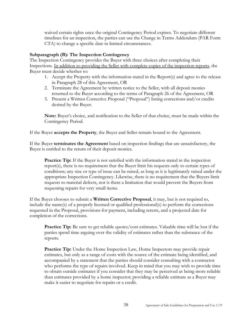waived certain rights once the original Contingency Period expires. To negotiate different timelines for an inspection, the parties can use the Change in Terms Addendum (PAR Form CTA) to change a specific date in limited circumstances.

#### **Subparagraph (B): The Inspection Contingency**

The Inspection Contingency provides the Buyer with three choices after completing their Inspections. In addition to providing the Seller with complete copies of the inspection reports, the Buyer must decide whether to:

- 1. Accept the Property with the information stated in the Report(s) and agree to the release in Paragraph 28 of this Agreement, OR
- 2. Terminate the Agreement by written notice to the Seller, with all deposit monies returned to the Buyer according to the terms of Paragraph 26 of the Agreement, OR
- 3. Present a Written Corrective Proposal ("Proposal") listing corrections and/or credits desired by the Buyer.

**Note:** Buyer's choice, and notification to the Seller of that choice, must be made within the Contingency Period.

If the Buyer **accepts the Property**, the Buyer and Seller remain bound to the Agreement.

If the Buyer **terminates the Agreement** based on inspection findings that are unsatisfactory, the Buyer is entitled to the return of their deposit monies.

**Practice Tip:** If the Buyer is not satisfied with the information stated in the inspection report(s), there is no requirement that the Buyer limit his requests only to certain types of conditions; any size or type of issue can be raised, as long as it is legitimately raised under the appropriate Inspection Contingency. Likewise, there is no requirement that the Buyers limit requests to material defects, nor is there a limitation that would prevent the Buyers from requesting repairs for very small items.

If the Buyer chooses to submit a **Written Corrective Proposal**, it may, but is not required to, include the name(s) of a properly licensed or qualified professional(s) to perform the corrections requested in the Proposal, provisions for payment, including retests, and a projected date for completion of the corrections.

**Practice Tip:** Be sure to get reliable quotes/cost estimates. Valuable time will be lost if the parties spend time arguing over the validity of estimates rather than the substance of the reports.

**Practice Tip:** Under the Home Inspection Law, Home Inspectors may provide repair estimates, but only as a range of costs with the source of the estimate being identified, and accompanied by a statement that the parties should consider consulting with a contractor who performs the type of repairs involved. Keep in mind that you may wish to provide time to obtain outside estimates if you consider that they may be perceived as being more reliable than estimates provided by a home inspector; providing a reliable estimate as a Buyer may make it easier to negotiate for repairs or a credit.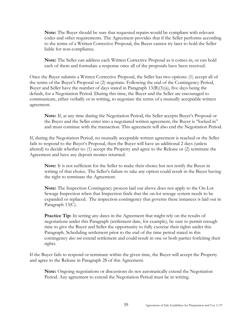**Note:** The Buyer should be sure that requested repairs would be compliant with relevant codes and other requirements. The Agreement provides that if the Seller performs according to the terms of a Written Corrective Proposal, the Buyer cannot try later to hold the Seller liable for non-compliance.

**Note:** The Seller can address each Written Corrective Proposal as it comes in, or can hold each of them and formulate a response once all of the proposals have been received.

Once the Buyer submits a Written Corrective Proposal, the Seller has two options: (1) accept all of the terms of the Buyer's Proposal or (2) negotiate. Following the end of the Contingency Period, Buyer and Seller have the number of days stated in Paragraph 13(B)(3)(a), five days being the default, for a Negotiation Period. During this time, the Buyer and the Seller are encouraged to communicate, either verbally or in writing, to negotiate the terms of a mutually acceptable written agreement.

**Note:** If, at any time during the Negotiation Period, the Seller accepts Buyer's Proposal or the Buyer and the Seller enter into a negotiated written agreement, the Buyer is "locked in" and must continue with the transaction. This agreement will also end the Negotiation Period.

If, during the Negotiation Period, no mutually acceptable written agreement is reached or the Seller fails to respond to the Buyer's Proposal, then the Buyer will have an additional 2 days (unless altered) to decide whether to: (1) accept the Property and agree to the Release or (2) terminate the Agreement and have any deposit monies returned.

**Note:** It is not sufficient for the Seller to make their choice but not notify the Buyer in writing of that choice. The Seller's failure to take any option could result in the Buyer having the right to terminate the Agreement.

**Note:** The Inspection Contingency process laid out above does not apply to the On-Lot Sewage Inspection when that Inspection finds that the on-lot sewage system needs to be expanded or replaced. The inspection contingency that governs these instances is laid out in Paragraph 13(C).

**Practice Tip:** In setting any dates in the Agreement that might rely on the results of negotiations under this Paragraph (settlement date, for example), be sure to permit enough time to give the Buyer and Seller the opportunity to fully exercise their rights under this Paragraph. Scheduling settlement prior to the end of the time period stated in this contingency *does not* extend settlement and could result in one or both parties forfeiting their rights.

If the Buyer fails to respond or terminate within the given time, the Buyer will accept the Property and agree to the Release in Paragraph 28 of this Agreement.

**Note:** Ongoing negotiations or discussions do not automatically extend the Negotiation Period. Any agreement to extend the Negotiation Period must be in writing.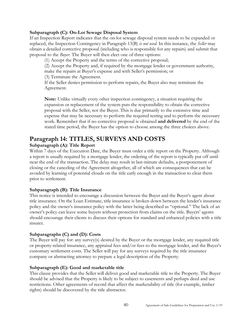### **Subparagraph (C): On-Lot Sewage Disposal System**

If an Inspection Report indicates that the on-lot sewage disposal system needs to be expanded or replaced, the Inspection Contingency in Paragraph 13(B) *is not used*. In this instance, the *Seller* may obtain a detailed corrective proposal (including who is responsible for any repairs) and submit that proposal to the *Buyer*. The Buyer will then elect one of three options:

(1) Accept the Property and the terms of the corrective proposal;

(2) Accept the Property and, if required by the mortgage lender or government authority, make the repairs at Buyer's expense and with Seller's permission; or

(3) Terminate the Agreement.

If the Seller denies permission to perform repairs, the Buyer also may terminate the Agreement.

**Note:** Unlike virtually every other inspection contingency, a situation requiring the expansion or replacement of the system puts the responsibility to obtain the corrective proposal with the Seller, not the Buyer. This is due primarily to the extensive time and expense that may be necessary to perform the required testing and to perform the necessary work. Remember that if no corrective proposal is obtained **and delivered** by the end of the stated time period, the Buyer has the option to choose among the three choices above.

# <span id="page-39-0"></span>**Paragraph 14: TITLES, SURVEYS AND COSTS**

## **Subparagraph (A): Title Report**

Within 7 days of the Execution Date, the Buyer must order a title report on the Property. Although a report is usually required by a mortgage lender, the ordering of the report is typically put off until near the end of the transaction. The delay may result in last-minute defaults, a postponement of closing or the canceling of the Agreement altogether, all of which are consequences that can be avoided by learning of potential clouds on the title early enough in the transaction to clear them prior to settlement.

## **Subparagraph (B): Title Insurance**

This notice is intended to encourage a discussion between the Buyer and the Buyer's agent about title insurance. On the Loan Estimate, title insurance is broken down between the lender's insurance policy and the owner's insurance policy with the latter being described as "optional." The lack of an owner's policy can leave some buyers without protection from claims on the title. Buyers' agents should encourage their clients to discuss their options for standard and enhanced policies with a title insurer.

## **Subparagraphs (C) and (D): Costs**

The Buyer will pay for: any survey(s) desired by the Buyer or the mortgage lender, any required title or property-related insurance, any appraisal fees and/or fees to the mortgage lender, and the Buyer's customary settlement costs. The Seller will pay for any surveys required by the title insurance company or abstracting attorney to prepare a legal description of the Property.

#### **Subparagraph (E): Good and marketable title**

This clause provides that the Seller will deliver good and marketable title to the Property. The Buyer should be advised that the Property is likely to be subject to easements and perhaps deed and use restrictions. Other agreements of record that affect the marketability of title (for example, timber rights) should be discovered by the title abstractor.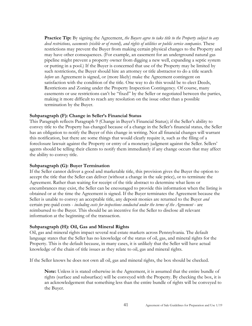**Practice Tip:** By signing the Agreement, *the Buyers agree to take title to the Property subject to any deed restrictions, easements (visible or of record), and rights of utilities or public service companies*. These restrictions may prevent the Buyer from making certain physical changes to the Property and may have other consequences. (For example, an easement for an underground natural gas pipeline might prevent a property owner from digging a new well, expanding a septic system or putting in a pool.) If the Buyer is concerned that use of the Property may be limited by such restrictions, the Buyer should hire an attorney or title abstractor to do a title search *before* an Agreement is signed, or (more likely) make the Agreement contingent on satisfaction with the condition of the title. One way to do this would be to elect Deeds, Restrictions and Zoning under the Property Inspection Contingency. Of course, many easements or use restrictions can't be "fixed" by the Seller or negotiated between the parties, making it more difficult to reach any resolution on the issue other than a possible termination by the Buyer.

#### **Subparagraph (F): Change in Seller's Financial Status**

This Paragraph reflects Paragraph 9 (Change in Buyer's Financial Status); if the Seller's ability to convey title to the Property has changed because of a change in the Seller's financial status, the Seller has an obligation to notify the Buyer of this change in writing. Not all financial changes will warrant this notification, but there are some things that would clearly require it, such as the filing of a foreclosure lawsuit against the Property or entry of a monetary judgment against the Seller. Sellers' agents should be telling their clients to notify them immediately if any change occurs that may affect the ability to convey title.

#### **Subparagraph (G): Buyer Termination**

If the Seller cannot deliver a good and marketable title, this provision gives the Buyer the option to accept the title that the Seller can deliver (without a change in the sale price), or to terminate the Agreement. Rather than waiting for receipt of the title abstract to determine what liens or encumbrances may exist, the Seller can be encouraged to provide this information when the listing is obtained or at the time the Agreement is signed. If the Buyer terminates the Agreement because the Seller is unable to convey an acceptable title, any deposit monies are returned to the Buyer *and*  certain pre-paid costs - *including costs for inspections conducted under the terms of the Agreement* - are reimbursed to the Buyer. This should be an incentive for the Seller to disclose all relevant information at the beginning of the transaction.

#### **Subparagraph (H): Oil, Gas and Mineral Rights**

Oil, gas and mineral rights impact several real estate markets across Pennsylvania. The default language states that the Seller has no knowledge of the status of oil, gas, and mineral rights for the Property. This is the default because, in many cases, it is unlikely that the Seller will have actual knowledge of the chain of title issues as they relate to oil, gas and mineral rights.

If the Seller knows he does not own all oil, gas and mineral rights, the box should be checked.

**Note:** Unless it is stated otherwise in the Agreement, it is assumed that the entire bundle of rights (surface and subsurface) will be conveyed with the Property. By checking the box, it is an acknowledgement that something less than the entire bundle of rights will be conveyed to the Buyer.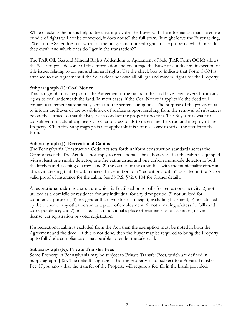While checking the box is helpful because it provides the Buyer with the information that the entire bundle of rights will not be conveyed, it does not tell the full story. It might leave the Buyer asking, "Well, if the Seller doesn't own all of the oil, gas and mineral rights to the property, which ones do they own? And which ones do I get in the transaction?"

The PAR Oil, Gas and Mineral Rights Addendum to Agreement of Sale (PAR Form OGM) allows the Seller to provide some of this information and encourage the Buyer to conduct an inspection of title issues relating to oil, gas and mineral rights. Use the check box to indicate that Form OGM is attached to the Agreement if the Seller does not own all oil, gas and mineral rights for the Property.

#### **Subparagraph (I): Coal Notice**

This paragraph must be part of the Agreement if the rights to the land have been severed from any rights to coal underneath the land. In most cases, if the Coal Notice is applicable the deed will contain a statement substantially similar to the sentence in quotes. The purpose of the provision is to inform the Buyer of the possible lack of surface support resulting from the removal of substances below the surface so that the Buyer can conduct the proper inspection. The Buyer may want to consult with structural engineers or other professionals to determine the structural integrity of the Property. When this Subparagraph is not applicable it is not necessary to strike the text from the form.

## **Subparagraph (J): Recreational Cabins**

The Pennsylvania Construction Code Act sets forth uniform construction standards across the Commonwealth. The Act does not apply to recreational cabins, however, if 1) the cabin is equipped with at least one smoke detector, one fire extinguisher and one carbon monoxide detector in both the kitchen and sleeping quarters; and 2) the owner of the cabin files with the municipality either an affidavit attesting that the cabin meets the definition of a "recreational cabin" as stated in the Act or valid proof of insurance for the cabin. See 35 P.S. §7210.104 for further details.

A **recreational cabin** is a structure which is 1) utilized principally for recreational activity; 2) not utilized as a domicile or residence for any individual for any time period; 3) not utilized for commercial purposes; 4) not greater than two stories in height, excluding basement; 5) not utilized by the owner or any other person as a place of employment; 6) not a mailing address for bills and correspondence; and 7) not listed as an individual's place of residence on a tax return, driver's license, car registration or voter registration.

If a recreational cabin is excluded from the Act, then the exemption must be noted in both the Agreement and the deed. If this is not done, then the Buyer may be required to bring the Property up to full Code compliance or may be able to render the sale void.

#### **Subparagraph (K): Private Transfer Fees**

Some Property in Pennsylvania may be subject to Private Transfer Fees, which are defined in Subparagraph  $(I)(2)$ . The default language is that the Property is not subject to a Private Transfer Fee. If you know that the transfer of the Property will require a fee, fill in the blank provided.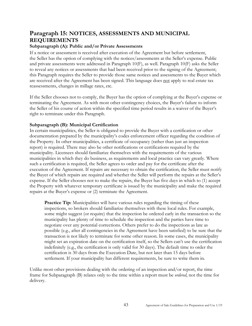# **Paragraph 15: NOTICES, ASSESSMENTS AND MUNICIPAL REQUIREMENTS**

## **Subparagraph (A): Public and/or Private Assessments**

If a notice or assessment is received after execution of the Agreement but before settlement, the Seller has the option of complying with the notices/assessments at the Seller's expense. Public and private assessments were addressed in Paragraph 10(F), as well. Paragraph 10(F) asks the Seller to reveal any notices or assessments that had been received prior to the signing of the Agreement; this Paragraph requires the Seller to provide those same notices and assessments to the Buyer which are received after the Agreement has been signed. This language does not apply to real estate tax reassessments, changes in millage rates, etc.

If the Seller chooses not to comply, the Buyer has the option of complying at the Buyer's expense or terminating the Agreement. As with most other contingency choices, the Buyer's failure to inform the Seller of his course of action within the specified time period results in a waiver of the Buyer's right to terminate under this Paragraph.

#### **Subparagraph (B): Municipal Certification**

In certain municipalities, the Seller is obligated to provide the Buyer with a certification or other documentation prepared by the municipality's codes enforcement officer regarding the condition of the Property. In other municipalities, a certificate of occupancy (rather than just an inspection report) is required. There may also be other notifications or certifications required by the municipality. Licensees should familiarize themselves with the requirements of the various municipalities in which they do business, as requirements and local practice can vary greatly. Where such a certification is required, the Seller agrees to order and pay for the certificate after the execution of the Agreement. If repairs are necessary to obtain the certification, the Seller must notify the Buyer of which repairs are required and whether the Seller will perform the repairs at the Seller's expense. If the Seller chooses not to make the repairs, the Buyer has five days in which to (1) accept the Property with whatever temporary certificate is issued by the municipality and make the required repairs at the Buyer's expense or (2) terminate the Agreement.

**Practice Tip:** Municipalities will have various rules regarding the timing of these inspections, so brokers should familiarize themselves with these local rules. For example, some might suggest (or require) that the inspection be ordered early in the transaction so the municipality has plenty of time to schedule the inspection and the parties have time to negotiate over any potential corrections. Others prefer to do the inspections as late as possible (e.g., after all contingencies in the Agreement have been satisfied) to be sure that the transaction is not likely to terminate for some other reason. In some cases, the municipality might set an expiration date on the certification itself, so the Sellers can't use the certification indefinitely (e.g., the certification is only valid for 30 days). The default time to order the certification is 30 days from the Execution Date, but not later than 15 days before settlement. If your municipality has different requirements, be sure to write them in.

Unlike most other provisions dealing with the ordering of an inspection and/or report, the time frame for Subparagraph (B) relates only to the time within a report must be *ordered*, not the time for delivery.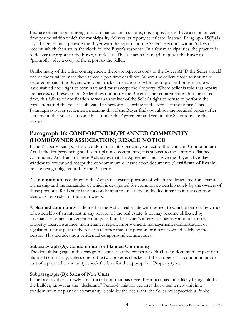Because of variations among local ordinances and customs, it is impossible to have a standardized time period within which the municipality delivers its report/certificate. Instead, Paragraph 15(B)(1) says the Seller must provide the Buyer with the report and the Seller's elections within 5 days of receipt, which then starts the clock for the Buyer's response. In a few municipalities, the practice is to deliver the report to the Buyer, not Seller. The last sentence in (B) requires the Buyer to "promptly" give a copy of the report to the Seller.

Unlike many of the other contingencies, there are repercussions to the Buyer AND the Seller should one of them fail to meet their agreed-upon time deadlines. Where the Sellers chose to not make required repairs, the Buyers who don't make an election of whether to proceed or terminate will have waived their right to terminate and must accept the Property. Where Seller is told that repairs are necessary, however, but Seller does not notify the Buyer of the requirement within the stated time, this failure of notification serves as a waiver of the Seller's right to refuse to perform the corrections and the Seller is obligated to perform according to the terms of the notice. This Paragraph survives settlement, meaning that if the Buyer finds out about the required repairs after settlement, the Buyer can come back under the Agreement and require the Seller to make the repairs.

# <span id="page-43-0"></span>**Paragraph 16: CONDOMINIUM/PLANNED COMMUNITY (HOMEOWNER ASSOCIATION) RESALE NOTICE**

If the Property being sold is a condominium, it is generally subject to the Uniform Condominium Act. If the Property being sold is in a planned community, it is subject to the Uniform Planned Community Act. Each of these Acts states that the Agreement must give the Buyer a five-day window to review and accept the condominium or association documents (**Certificate of Resale**) before being obligated to buy the Property.

A **condominium** is defined in the Act as real estate, portions of which are designated for separate ownership and the remainder of which is designated for common ownership solely by the owners of those portions. Real estate is not a condominium unless the undivided interests in the common elements are vested in the unit owners.

A **planned community** is defined in the Act as real estate with respect to which a person, by virtue of ownership of an interest in any portion of the real estate, is or may become obligated by covenant, easement or agreement imposed on the owner's interest to pay any amount for real property taxes, insurance, maintenance, repair, improvement, management, administration or regulation of any part of the real estate other than the portion or interest owned solely by the person. This includes non-residential campground communities.

## **Subparagraph (A): Condominium or Planned Community**

The default language in this paragraph states that the property is NOT a condominium or part of a planned community, unless one of the two boxes is checked. If the property is a condominium or part of a planned community, check the box for the appropriate Property type.

## **Subparagraph (B): Sales of New Units**

If the sale involves a newly-constructed unit that has never been occupied, it is likely being sold by the builder, known as the "declarant." Pennsylvania law requires that when a new unit in a condominium or planned community is sold by the declarant, the Seller must provide a Public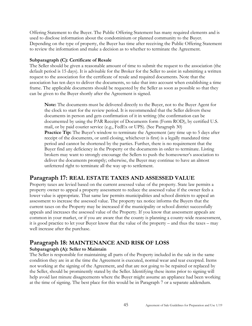Offering Statement to the Buyer. The Public Offering Statement has many required elements and is used to disclose information about the condominium or planned community to the Buyer. Depending on the type of property, the Buyer has time after receiving the Public Offering Statement to review the information and make a decision as to whether to terminate the Agreement.

## **Subparagraph (C): Certificate of Resale**

The Seller should be given a reasonable amount of time to submit the request to the association (the default period is 15 days). It is advisable for the Broker for the Seller to assist in submitting a written request to the association for the certificate of resale and required documents. Note that the association has ten days to deliver the documents, so take that into account when establishing a time frame. The applicable documents should be requested by the Seller as soon as possible so that they can be given to the Buyer shortly after the Agreement is signed.

**Note:** The documents must be delivered directly to the Buyer, not to the Buyer Agent for the clock to start for the review period. It is recommended that the Seller delivers these documents in person and gets confirmation of it in writing (the confirmation can be documented by using the PAR Receipt of Documents form (Form ROD), by certified U.S. mail, or by paid courier service (e.g., FedEx or UPS). (See Paragraph 30) **Practice Tip:** The Buyer's window to terminate the Agreement (any time up to 5 days after receipt of the documents, or until closing, whichever is first) is a legally mandated time period and cannot be shortened by the parties. Further, there is no requirement that the Buyer find any deficiency in the Property or the documents in order to terminate. Listing brokers may want to strongly encourage the Sellers to push the homeowner's association to deliver the documents promptly; otherwise, the Buyer may continue to have an almost unfettered right to terminate all the way up to settlement.

# <span id="page-44-0"></span>**Paragraph 17: REAL ESTATE TAXES AND ASSESSED VALUE**

Property taxes are levied based on the current assessed value of the property. State law permits a property owner to appeal a property assessment to reduce the assessed value if the owner feels a lower value is appropriate. That same law permits municipalities and school districts to appeal an assessment to increase the assessed value. The property tax notice informs the Buyers that the current taxes on the Property may be increased if the municipality or school district successfully appeals and increases the assessed value of the Property. If you know that assessment appeals are common in your market, or if you are aware that the county is planning a county-wide reassessment, it is good practice to let your Buyer know that the value of the property – and thus the taxes – may well increase after the purchase.

# <span id="page-44-1"></span>**Paragraph 18: MAINTENANCE AND RISK OF LOSS**

## **Subparagraph (A): Seller to Maintain**

The Seller is responsible for maintaining all parts of the Property included in the sale in the same condition they are in at the time the Agreement is executed, normal wear and tear excepted. Items not working at the signing of the Agreement, and that are not going to be repaired or replaced by the Seller, should be prominently stated by the Seller. Identifying these items prior to signing will help avoid last minute disagreements where the Buyer might assume an appliance had been working at the time of signing. The best place for this would be in Paragraph 7 or a separate addendum.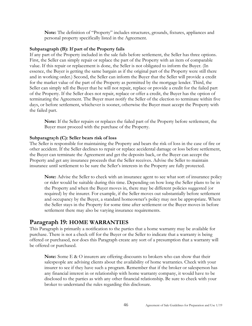**Note:** The definition of "Property" includes structures, grounds, fixtures, appliances and personal property specifically listed in the Agreement.

#### **Subparagraph (B): If part of the Property fails**

If any part of the Property included in the sale fails before settlement, the Seller has three options. First, the Seller can simply repair or replace the part of the Property with an item of comparable value. If this repair or replacement is done, the Seller is not obligated to inform the Buyer. (In essence, the Buyer is getting the same bargain as if the original part of the Property were still there and in working order.) Second, the Seller can inform the Buyer that the Seller will provide a credit for the market value of the part of the Property as permitted by the mortgage lender. Third, the Seller can simply tell the Buyer that he will not repair, replace or provide a credit for the failed part of the Property. If the Seller does not repair, replace or offer a credit, the Buyer has the option of terminating the Agreement. The Buyer must notify the Seller of the election to terminate within five days, or before settlement, whichever is sooner, otherwise the Buyer must accept the Property with the failed part.

**Note:** If the Seller repairs or replaces the failed part of the Property before settlement, the Buyer must proceed with the purchase of the Property.

#### **Subparagra**p**h (C): Seller bears risk of loss**

The Seller is responsible for maintaining the Property and bears the risk of loss in the case of fire or other accident. If the Seller declines to repair or replace accidental damage or loss before settlement, the Buyer can terminate the Agreement and get the deposits back, or the Buyer can accept the Property and get any insurance proceeds that the Seller receives. Advise the Seller to maintain insurance until settlement to be sure the Seller's interests in the Property are fully protected.

**Note:** Advise the Seller to check with an insurance agent to see what sort of insurance policy or rider would be suitable during this time. Depending on how long the Seller plans to be in the Property and when the Buyer moves in, there may be different policies suggested (or required) by the insurer. For example, if the Seller moves out substantially before settlement and occupancy by the Buyer, a standard homeowner's policy may not be appropriate. Where the Seller stays in the Property for some time after settlement or the Buyer moves in before settlement there may also be varying insurance requirements.

## <span id="page-45-0"></span>**Paragraph 19: HOME WARRANTIES**

This Paragraph is primarily a notification to the parties that a home warranty may be available for purchase. There is not a check off for the Buyer or the Seller to indicate that a warranty is being offered or purchased, nor does this Paragraph create any sort of a presumption that a warranty will be offered or purchased.

**Note:** Some E & O insurers are offering discounts to brokers who can show that their salespeople are advising clients about the availability of home warranties. Check with your insurer to see if they have such a program. Remember that if the broker or salesperson has any financial interest in or relationship with home warranty company, it would have to be disclosed to the parties as with any other financial relationship. Be sure to check with your broker to understand the rules regarding this disclosure.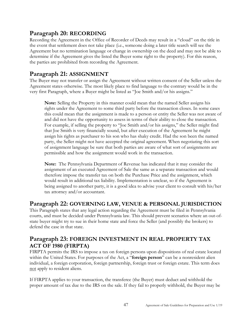# <span id="page-46-0"></span>**Paragraph 20: RECORDING**

Recording the Agreement in the Office of Recorder of Deeds may result in a "cloud" on the title in the event that settlement does not take place (i.e., someone doing a later title search will see the Agreement but no termination language or change in ownership on the deed and may not be able to determine if the Agreement gives the listed the Buyer some right to the property). For this reason, the parties are prohibited from recording the Agreement.

# <span id="page-46-1"></span>**Paragraph 21: ASSIGNMENT**

The Buyer may not transfer or assign the Agreement without written consent of the Seller unless the Agreement states otherwise. The most likely place to find language to the contrary would be in the very first Paragraph, where a Buyer might be listed as "Joe Smith and/or his assigns."

**Note:** Selling the Property in this manner could mean that the named Seller assigns his rights under the Agreement to some third party before the transaction closes. In some cases this could mean that the assignment is made to a person or entity the Seller was not aware of and did not have the opportunity to assess in terms of their ability to close the transaction. For example, if selling the property to "Joe Smith and/or his assigns," the Seller might find that Joe Smith is very financially sound, but after execution of the Agreement he might assign his rights as purchaser to his son who has shaky credit. Had the son been the named party, the Seller might not have accepted the original agreement. When negotiating this sort of assignment language be sure that both parties are aware of what sort of assignments are permissible and how the assignment would work in the transaction.

**Note:** The Pennsylvania Department of Revenue has indicated that it may consider the assignment of an executed Agreement of Sale the same as a separate transaction and would therefore impose the transfer tax on both the Purchase Price and the assignment, which would result in additional tax liability. Implementation is unclear, so if the Agreement is being assigned to another party, it is a good idea to advise your client to consult with his/her tax attorney and/or accountant.

# <span id="page-46-2"></span>**Paragraph 22: GOVERNING LAW, VENUE & PERSONAL JURISDICTION**

This Paragraph states that any legal action regarding the Agreement must be filed in Pennsylvania courts, and must be decided under Pennsylvania law. This should prevent scenarios where an out-ofstate buyer might try to sue in their home state and force the Seller (and possibly the brokers) to defend the case in that state.

# <span id="page-46-3"></span>**Paragraph 23: FOREIGN INVESTMENT IN REAL PROPERTY TAX ACT OF 1980 (FIRPTA)**

FIRPTA permits the IRS to impose a tax on foreign persons upon dispositions of real estate located within the United States. For purposes of the Act, a "**foreign person**" can be a nonresident alien individual, a foreign corporation, foreign partnership, foreign trust or foreign estate. This term does not apply to resident aliens.

If FIRPTA applies to your transaction, the transferee (the Buyer) must deduct and withhold the proper amount of tax due to the IRS on the sale. If they fail to properly withhold, the Buyer may be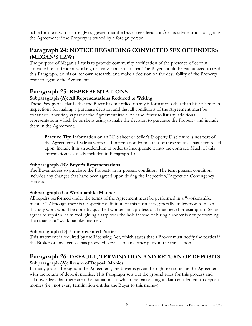liable for the tax. It is strongly suggested that the Buyer seek legal and/or tax advice prior to signing the Agreement if the Property is owned by a foreign person.

# <span id="page-47-0"></span>**Paragraph 24: NOTICE REGARDING CONVICTED SEX OFFENDERS (MEGAN'S LAW)**

The purpose of Megan's Law is to provide community notification of the presence of certain convicted sex offenders working or living in a certain area. The Buyer should be encouraged to read this Paragraph, do his or her own research, and make a decision on the desirability of the Property prior to signing the Agreement.

# <span id="page-47-1"></span>**Paragraph 25: REPRESENTATIONS**

## **Subparagraph (A): All Representations Reduced to Writing**

These Paragraphs clarify that the Buyer has not relied on any information other than his or her own inspections for making a purchase decision and that all conditions of the Agreement must be contained in writing as part of the Agreement itself. Ask the Buyer to list any additional representations which he or she is using to make the decision to purchase the Property and include them in the Agreement.

**Practice Tip:** Information on an MLS sheet or Seller's Property Disclosure is not part of the Agreement of Sale as written. If information from either of these sources has been relied upon, include it in an addendum in order to incorporate it into the contract. Much of this information is already included in Paragraph 10.

## **Subparagraph (B): Buyer's Representations**

The Buyer agrees to purchase the Property in its present condition. The term present condition includes any changes that have been agreed upon during the Inspection/Inspection Contingency process.

## **Subparagraph (C): Workmanlike Manner**

All repairs performed under the terms of the Agreement must be performed in a "workmanlike manner." Although there is no specific definition of this term, it is generally understood to mean that any work would be done by qualified workers in a professional manner. (For example, if Seller agrees to repair a leaky roof, gluing a tarp over the hole instead of hiring a roofer is not performing the repair in a "workmanlike manner.")

## **Subparagraph (D): Unrepresented Parties**

This statement is required by the Licensing Act, which states that a Broker must notify the parties if the Broker or any licensee has provided services to any other party in the transaction.

# <span id="page-47-2"></span>**Paragraph 26: DEFAULT, TERMINATION AND RETURN OF DEPOSITS Subparagraph (A): Return of Deposit Monies**

In many places throughout the Agreement, the Buyer is given the right to terminate the Agreement with the return of deposit monies. This Paragraph sets out the ground rules for this process and acknowledges that there are other situations in which the parties might claim entitlement to deposit monies (i.e., not every termination entitles the Buyer to this money).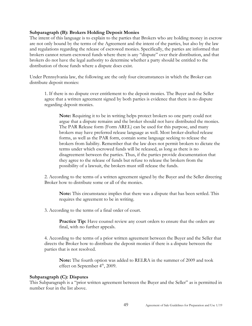#### **Subparagraph (B): Brokers Holding Deposit Monies**

The intent of this language is to explain to the parties that Brokers who are holding money in escrow are not only bound by the terms of the Agreement and the intent of the parties, but also by the law and regulations regarding the release of escrowed monies. Specifically, the parties are informed that brokers cannot return escrowed funds where there is any "dispute" over their distribution, and that brokers do not have the legal authority to determine whether a party should be entitled to the distribution of those funds where a dispute does exist.

Under Pennsylvania law, the following are the only four circumstances in which the Broker can distribute deposit monies:

1. If there is no dispute over entitlement to the deposit monies. The Buyer and the Seller agree that a written agreement signed by both parties is evidence that there is no dispute regarding deposit monies.

**Note:** Requiring it to be in writing helps protect brokers so one party could not argue that a dispute remains and the broker should not have distributed the monies. The PAR Release form (Form AREL) can be used for this purpose, and many brokers may have preferred release language as well. Most broker-drafted release forms, as well as the PAR form, contain some language seeking to release the brokers from liability. Remember that the law does not permit brokers to dictate the terms under which escrowed funds will be released, as long as there is no disagreement between the parties. Thus, if the parties provide documentation that they agree to the release of funds but refuse to release the brokers from the possibility of a lawsuit, the brokers must still release the funds.

2. According to the terms of a written agreement signed by the Buyer and the Seller directing Broker how to distribute some or all of the monies.

**Note:** This circumstance implies that there was a dispute that has been settled. This requires the agreement to be in writing.

3. According to the terms of a final order of court.

**Practice Tip:** Have counsel review any court orders to ensure that the orders are final, with no further appeals.

4. According to the terms of a prior written agreement between the Buyer and the Seller that directs the Broker how to distribute the deposit monies if there is a dispute between the parties that is not resolved.

**Note:** The fourth option was added to RELRA in the summer of 2009 and took effect on September  $4<sup>th</sup>$ , 2009.

#### **Subparagraph (C): Disputes**

This Subparagraph is a "prior written agreement between the Buyer and the Seller" as is permitted in number four in the list above.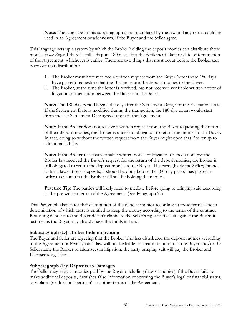**Note:** The language in this subparagraph is not mandated by the law and any terms could be used in an Agreement or addendum, if the Buyer and the Seller agree.

This language sets up a system by which the Broker holding the deposit monies can distribute those monies *to the Buyer* if there is still a dispute 180 days after the Settlement Date or date of termination of the Agreement, whichever is earlier. There are two things that must occur before the Broker can carry out that distribution:

- 1. The Broker must have received a written request from the Buyer (after those 180 days have passed) requesting that the Broker return the deposit monies to the Buyer.
- 2. The Broker, at the time the letter is received, has not received verifiable written notice of litigation or mediation between the Buyer and the Seller.

**Note:** The 180-day period begins the day after the Settlement Date, not the Execution Date. If the Settlement Date is modified during the transaction, the 180-day count would start from the last Settlement Date agreed upon in the Agreement.

**Note:** If the Broker does not receive a written request from the Buyer requesting the return of their deposit monies, the Broker is under no obligation to return the monies to the Buyer. In fact, doing so without the written request from the Buyer might open that Broker up to additional liability.

**Note:** If the Broker receives verifiable written notice of litigation or mediation *after* the Broker has received the Buyer's request for the return of the deposit monies, the Broker is still obligated to return the deposit monies to the Buyer. If a party (likely the Seller) intends to file a lawsuit over deposits, it should be done before the 180-day period has passed, in order to ensure that the Broker will still be holding the monies.

**Practice Tip:** The parties will likely need to mediate before going to bringing suit, according to the pre-written terms of the Agreement. (See Paragraph 27)

This Paragraph also states that distribution of the deposit monies according to these terms is not a determination of which party is entitled to keep the money according to the terms of the contract. Returning deposits to the Buyer doesn't eliminate the Seller's right to file suit against the Buyer, it just means the Buyer may already have the funds in hand.

#### **Subparagraph (D): Broker Indemnification**

The Buyer and Seller are agreeing that the Broker who has distributed the deposit monies according to the Agreement or Pennsylvania law will not be liable for that distribution. If the Buyer and/or the Seller name the Broker or Licensees in litigation, the party bringing suit will pay the Broker and Licensee's legal fees.

#### **Subparagraph (E): Deposits as Damages**

The Seller may keep all monies paid by the Buyer (including deposit monies) if the Buyer fails to make additional deposits, furnishes false information concerning the Buyer's legal or financial status, or violates (or does not perform) any other terms of the Agreement.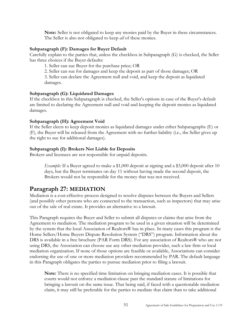**Note:** Seller is not obligated to keep any monies paid by the Buyer in these circumstances. The Seller is also not obligated to keep *all* of these monies.

#### **Subparagraph (F): Damages for Buyer Default**

Carefully explain to the parties that, unless the checkbox in Subparagraph (G) is checked, the Seller has three choices if the Buyer defaults:

1. Seller can sue Buyer for the purchase price; OR

2. Seller can sue for damages and keep the deposit as part of those damages; OR

3. Seller can declare the Agreement null and void, and keep the deposit as liquidated damages.

## **Subparagraph (G): Liquidated Damages**

If the checkbox in this Subparagraph is checked, the Seller's options in case of the Buyer's default are limited to declaring the Agreement null and void and keeping the deposit monies as liquidated damages.

## **Subparagraph (H): Agreement Void**

If the Seller elects to keep deposit monies as liquidated damages under either Subparagraphs (E) or (F), the Buyer will be released from the Agreement with no further liability (i.e., the Seller gives up the right to sue for additional damages).

## **Subparagraph (I): Brokers Not Liable for Deposits**

Brokers and licensees are not responsible for unpaid deposits.

*Example:* If a Buyer agreed to make a \$1,000 deposit at signing and a \$3,000 deposit after 10 days, but the Buyer terminates on day 11 without having made the second deposit, the Brokers would not be responsible for the money that was not received.

# <span id="page-50-0"></span>**Paragraph 27: MEDIATION**

Mediation is a cost-effective process designed to resolve disputes between the Buyers and Sellers (and possibly other persons who are connected to the transaction, such as inspectors) that may arise out of the sale of real estate. It provides an alternative to a lawsuit.

This Paragraph requires the Buyer and Seller to submit all disputes or claims that arise from the Agreement to mediation. The mediation program to be used in a given situation will be determined by the system that the local Association of Realtors® has in place. In many cases this program is the Home Sellers/Home Buyers Dispute Resolution System ("DRS") program. Information about the DRS is available in a free brochure (PAR Form DRS). For any association of Realtors® who are not using DRS, the Association can choose use any other mediation provider, such a law firm or local mediation organization. If none of those options are feasible or available, Associations can consider endorsing the use of one or more mediation providers recommended by PAR. The default language in this Paragraph obligates the parties to pursue mediation prior to filing a lawsuit.

**Note:** There is no specified time limitation on bringing mediation cases. It is possible that courts would not enforce a mediation clause past the standard statute of limitations for bringing a lawsuit on the same issue. That being said, if faced with a questionable mediation claim, it may still be preferable for the parties to mediate that claim than to take additional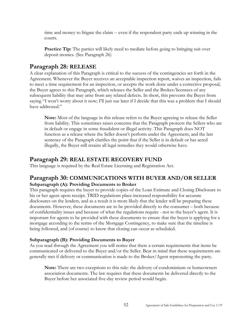time and money to litigate the claim -- even if the respondent party ends up winning in the courts.

**Practice Tip:** The parties will likely need to mediate before going to bringing suit over deposit monies. (See Paragraph 26)

# <span id="page-51-0"></span>**Paragraph 28: RELEASE**

A clear explanation of this Paragraph is critical to the success of the contingencies set forth in the Agreement. Whenever the Buyer receives an acceptable inspection report, waives an inspection, fails to meet a time requirement for an inspection, or accepts the work done under a corrective proposal, the Buyer agrees to this Paragraph, which releases the Seller and the Broker/licensees of any subsequent liability that may arise from any related defects. In short, this prevents the Buyer from saying "I won't worry about it now; I'll just sue later if I decide that this was a problem that I should have addressed."

**Note:** Most of the language in this release refers to the Buyer agreeing to release the Seller from liability. This sometimes raises concerns that the Paragraph protects the Sellers who are in default or engage in some fraudulent or illegal activity. This Paragraph does NOT function as a release where the Seller doesn't perform under the Agreement, and the last sentence of the Paragraph clarifies the point that if the Seller is in default or has acted illegally, the Buyer still retains all legal remedies they would otherwise have.

# <span id="page-51-1"></span>**Paragraph 29: REAL ESTATE RECOVERY FUND**

This language is required by the Real Estate Licensing and Registration Act.

# <span id="page-51-2"></span>**Paragraph 30: COMMUNICATIONS WITH BUYER AND/OR SELLER Subparagraph (A): Providing Documents to Broker**

This paragraph requires the buyer to provide copies of the Loan Estimate and Closing Disclosure to his or her agent upon receipt. TRID regulations place increased responsibility for accurate disclosures on the lenders, and as a result it is more likely that the lender will be preparing these documents. However, these documents are to be provided directly to the consumer – both because of confidentiality issues and because of what the regulations require - not to the buyer's agent. It is important for agents to be provided with these documents to ensure that the buyer is applying for a mortgage according to the terms of the Mortgage Contingency, to make sure that the timeline is being followed, and (of course) to know that closing can occur as scheduled.

## **Subparagraph (B): Providing Documents to Buyer**

As you read through the Agreement you will notice that there a certain requirements that items be communicated or delivered to the Buyer and/or the Seller. Bear in mind that these requirements are generally met if delivery or communication is made to the Broker/Agent representing the party.

**Note:** There are two exceptions to this rule: the delivery of condominium or homeowners association documents. The law requires that these documents be delivered directly to the Buyer before her associated five-day review period would begin.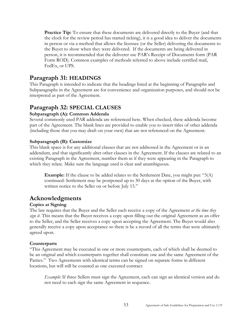**Practice Tip:** To ensure that these documents are delivered directly to the Buyer (and that the clock for the review period has started ticking), it is a good idea to deliver the documents in person or via a method that allows the licensee (or the Seller) delivering the documents to the Buyer to show when they were delivered. If the documents are being delivered in person, it is recommended that the deliverer use PAR's Receipt of Documents form (PAR Form ROD). Common examples of methods referred to above include certified mail, FedEx, or UPS.

# <span id="page-52-0"></span>**Paragraph 31: HEADINGS**

This Paragraph is intended to indicate that the headings listed at the beginning of Paragraphs and Subparagraphs in the Agreement are for convenience and organization purposes, and should not be interpreted as part of the Agreement.

# <span id="page-52-1"></span>**Paragraph 32: SPECIAL CLAUSES**

## **Subparagraph (A): Common Addenda**

Several commonly used PAR addenda are referenced here. When checked, these addenda become part of the Agreement. The blank lines are provided to enable you to insert titles of other addenda (including those that you may draft on your own) that are not referenced on the Agreement.

## **Subparagraph (B): Customize**

This blank space is for any additional clauses that are not addressed in the Agreement or in an addendum, and that significantly alter other clauses in the Agreement. If the clauses are related to an existing Paragraph in the Agreement, number them as if they were appearing in the Paragraph to which they relate. Make sure the language used is clear and unambiguous.

**Example:** If the clause to be added relates to the Settlement Date, you might put: "3(A) continued: Settlement may be postponed up to 30 days at the option of the Buyer, with written notice to the Seller on or before July 15."

# <span id="page-52-2"></span>**Acknowledgments**

## **Copies at Signing**

The law requires that the Buyer and the Seller each receive a copy of the Agreement *at the time they sign it*. This means that the Buyer receives a copy upon filling out the original Agreement as an offer to the Seller, and the Seller receives a copy upon accepting the Agreement. The Buyer would also generally receive a copy upon acceptance so there is be a record of all the terms that were ultimately agreed upon.

## **Counterparts**

"This Agreement may be executed in one or more counterparts, each of which shall be deemed to be an original and which counterparts together shall constitute one and the same Agreement of the Parties." Two Agreements with identical terms can be signed on separate forms in different locations, but will still be counted as one executed contract.

*Example:* If three Sellers must sign the Agreement, each can sign an identical version and do not need to each sign the same Agreement in sequence.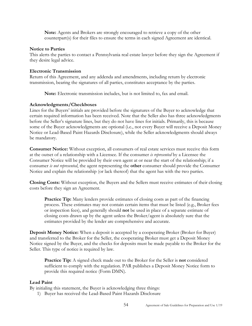**Note:** Agents and Brokers are strongly encouraged to retrieve a copy of the other counterpart(s) for their files to ensure the terms in each signed Agreement are identical.

#### **Notice to Parties**

This alerts the parties to contact a Pennsylvania real estate lawyer before they sign the Agreement if they desire legal advice.

#### **Electronic Transmission**

Return of this Agreement, and any addenda and amendments, including return by electronic transmission, bearing the signatures of all parties, constitutes acceptance by the parties.

**Note:** Electronic transmission includes, but is not limited to, fax and email.

## **Acknowledgments/Checkboxes**

Lines for the Buyers' initials are provided before the signatures of the Buyer to acknowledge that certain required information has been received. Note that the Seller also has three acknowledgments before the Seller's signature lines, but they do not have lines for initials. Primarily, this is because some of the Buyer acknowledgments are optional (i.e., not every Buyer will receive a Deposit Money Notice or Lead-Based Paint Hazards Disclosure), while the Seller acknowledgments should always be mandatory.

**Consumer Notice:** Without exception, all consumers of real estate services must receive this form at the outset of a relationship with a Licensee. If the consumer *is represented* by a Licensee the Consumer Notice will be provided by their own agent at or near the start of the relationship; if a consumer *is not represented*, the agent representing the **other** consumer should provide the Consumer Notice and explain the relationship (or lack thereof) that the agent has with the two parties.

**Closing Costs:** Without exception, the Buyers and the Sellers must receive estimates of their closing costs before they sign an Agreement.

**Practice Tip:** Many lenders provide estimates of closing costs as part of the financing process. These estimates may not contain certain items that must be listed (e.g., Broker fees or inspection fees), and generally should **not** be used in place of a separate estimate of closing costs drawn up by the agent unless the Broker/agent is absolutely sure that the estimates provided by the lender are comprehensive and accurate.

**Deposit Money Notice:** When a deposit is accepted by a cooperating Broker (Broker for Buyer) and transferred to the Broker for the Seller, the cooperating Broker must get a Deposit Money Notice signed by the Buyer, and the checks for deposits must be made payable to the Broker for the Seller. This type of notice is required by law.

**Practice Tip:** A signed check made out to the Broker for the Seller is **not** considered sufficient to comply with the regulation. PAR publishes a Deposit Money Notice form to provide this required notice (Form DMN).

## **Lead Paint**

By initialing this statement, the Buyer is acknowledging three things:

1) Buyer has received the Lead-Based Paint Hazards Disclosure